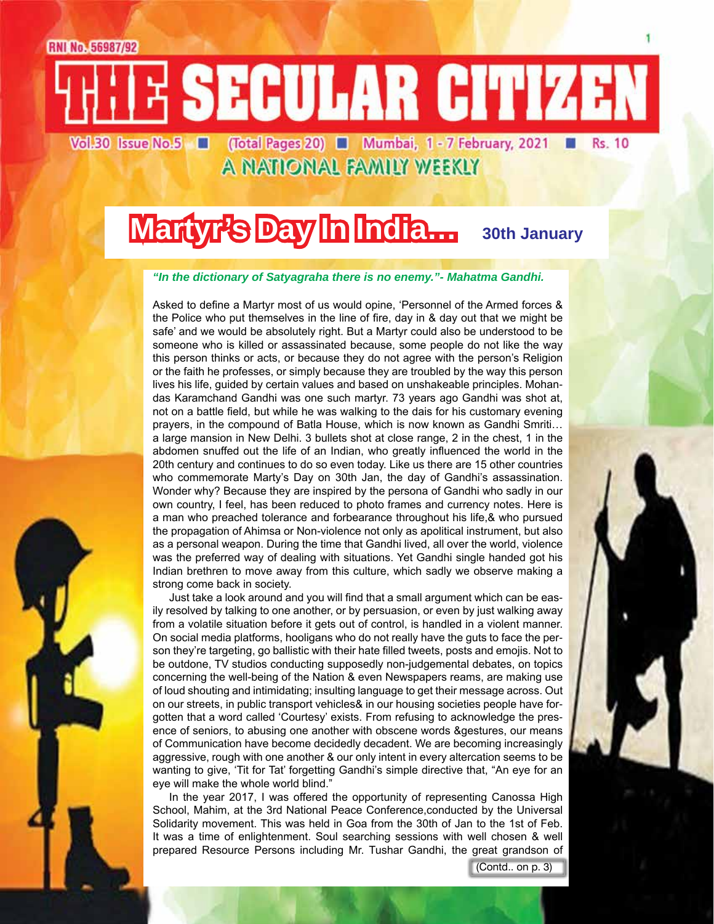E SECULAR CITIZEN (Total Pages 20) **Mumbai**, 1 - 7 February, 2021 Vol.30 Issue No.5

A NATIONAL FAMILY WEEKLY

# **Martyr's Day In India...** 30th January

#### *"In the dictionary of Satyagraha there is no enemy."- Mahatma Gandhi.*

Asked to define a Martyr most of us would opine, 'Personnel of the Armed forces & the Police who put themselves in the line of fire, day in & day out that we might be safe' and we would be absolutely right. But a Martyr could also be understood to be someone who is killed or assassinated because, some people do not like the way this person thinks or acts, or because they do not agree with the person's Religion or the faith he professes, or simply because they are troubled by the way this person lives his life, guided by certain values and based on unshakeable principles. Mohandas Karamchand Gandhi was one such martyr. 73 years ago Gandhi was shot at, not on a battle field, but while he was walking to the dais for his customary evening prayers, in the compound of Batla House, which is now known as Gandhi Smriti… a large mansion in New Delhi. 3 bullets shot at close range, 2 in the chest, 1 in the abdomen snuffed out the life of an Indian, who greatly influenced the world in the 20th century and continues to do so even today. Like us there are 15 other countries who commemorate Marty's Day on 30th Jan, the day of Gandhi's assassination. Wonder why? Because they are inspired by the persona of Gandhi who sadly in our own country, I feel, has been reduced to photo frames and currency notes. Here is a man who preached tolerance and forbearance throughout his life,& who pursued the propagation of Ahimsa or Non-violence not only as apolitical instrument, but also as a personal weapon. During the time that Gandhi lived, all over the world, violence was the preferred way of dealing with situations. Yet Gandhi single handed got his Indian brethren to move away from this culture, which sadly we observe making a strong come back in society.

Just take a look around and you will find that a small argument which can be easily resolved by talking to one another, or by persuasion, or even by just walking away from a volatile situation before it gets out of control, is handled in a violent manner. On social media platforms, hooligans who do not really have the guts to face the person they're targeting, go ballistic with their hate filled tweets, posts and emojis. Not to be outdone, TV studios conducting supposedly non-judgemental debates, on topics concerning the well-being of the Nation & even Newspapers reams, are making use of loud shouting and intimidating; insulting language to get their message across. Out on our streets, in public transport vehicles& in our housing societies people have forgotten that a word called 'Courtesy' exists. From refusing to acknowledge the presence of seniors, to abusing one another with obscene words &gestures, our means of Communication have become decidedly decadent. We are becoming increasingly aggressive, rough with one another & our only intent in every altercation seems to be wanting to give, 'Tit for Tat' forgetting Gandhi's simple directive that, "An eye for an eye will make the whole world blind."

In the year 2017, I was offered the opportunity of representing Canossa High School, Mahim, at the 3rd National Peace Conference,conducted by the Universal Solidarity movement. This was held in Goa from the 30th of Jan to the 1st of Feb. It was a time of enlightenment. Soul searching sessions with well chosen & well prepared Resource Persons including Mr. Tushar Gandhi, the great grandson of

(Contd.. on p. 3)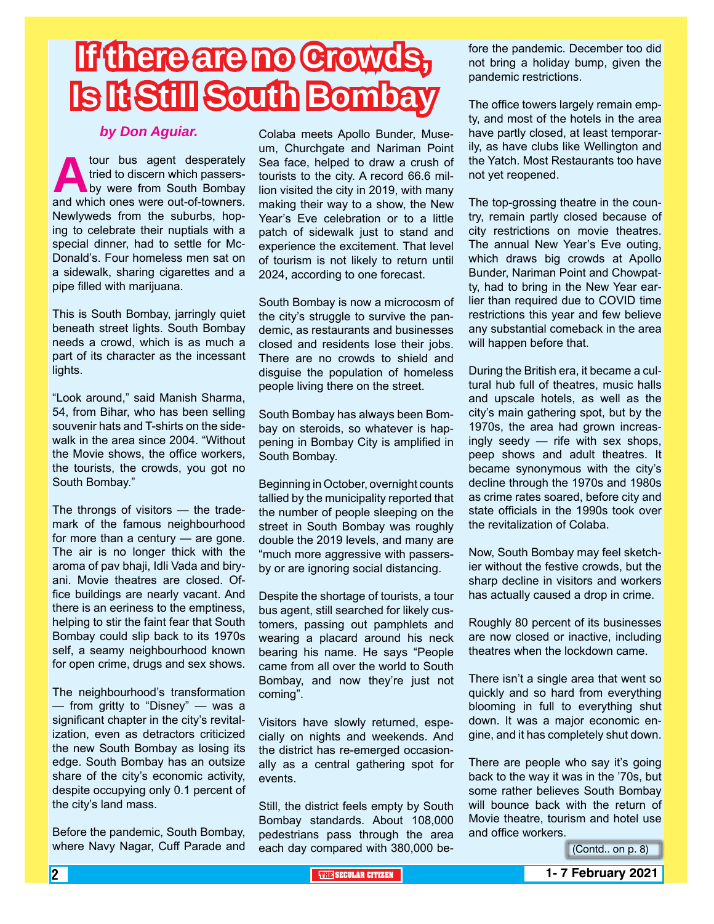# **If there are no Crowds, Is It Still South Bombay**

### *by Don Aguiar.*

**Alternative School of the School School School School School School School School School School School School School School School School School School School School School School School School School School School School** tried to discern which passersby were from South Bombay Newlyweds from the suburbs, hoping to celebrate their nuptials with a special dinner, had to settle for Mc-Donald's. Four homeless men sat on a sidewalk, sharing cigarettes and a pipe filled with marijuana.

This is South Bombay, jarringly quiet beneath street lights. South Bombay needs a crowd, which is as much a part of its character as the incessant lights.

"Look around," said Manish Sharma, 54, from Bihar, who has been selling souvenir hats and T-shirts on the sidewalk in the area since 2004. "Without the Movie shows, the office workers, the tourists, the crowds, you got no South Bombay."

The throngs of visitors — the trademark of the famous neighbourhood for more than a century — are gone. The air is no longer thick with the aroma of pav bhaji, Idli Vada and biryani. Movie theatres are closed. Office buildings are nearly vacant. And there is an eeriness to the emptiness, helping to stir the faint fear that South Bombay could slip back to its 1970s self, a seamy neighbourhood known for open crime, drugs and sex shows.

The neighbourhood's transformation — from gritty to "Disney" — was a significant chapter in the city's revitalization, even as detractors criticized the new South Bombay as losing its edge. South Bombay has an outsize share of the city's economic activity, despite occupying only 0.1 percent of the city's land mass.

Before the pandemic, South Bombay, where Navy Nagar, Cuff Parade and

Colaba meets Apollo Bunder, Museum, Churchgate and Nariman Point Sea face, helped to draw a crush of tourists to the city. A record 66.6 million visited the city in 2019, with many making their way to a show, the New Year's Eve celebration or to a little patch of sidewalk just to stand and experience the excitement. That level of tourism is not likely to return until 2024, according to one forecast.

South Bombay is now a microcosm of the city's struggle to survive the pandemic, as restaurants and businesses closed and residents lose their jobs. There are no crowds to shield and disguise the population of homeless people living there on the street.

South Bombay has always been Bombay on steroids, so whatever is happening in Bombay City is amplified in South Bombay.

Beginning in October, overnight counts tallied by the municipality reported that the number of people sleeping on the street in South Bombay was roughly double the 2019 levels, and many are "much more aggressive with passersby or are ignoring social distancing.

Despite the shortage of tourists, a tour bus agent, still searched for likely customers, passing out pamphlets and wearing a placard around his neck bearing his name. He says "People came from all over the world to South Bombay, and now they're just not coming".

Visitors have slowly returned, especially on nights and weekends. And the district has re-emerged occasionally as a central gathering spot for events.

Still, the district feels empty by South Bombay standards. About 108,000 pedestrians pass through the area each day compared with 380,000 before the pandemic. December too did not bring a holiday bump, given the pandemic restrictions.

The office towers largely remain empty, and most of the hotels in the area have partly closed, at least temporarily, as have clubs like Wellington and the Yatch. Most Restaurants too have not yet reopened.

The top-grossing theatre in the country, remain partly closed because of city restrictions on movie theatres. The annual New Year's Eve outing, which draws big crowds at Apollo Bunder, Nariman Point and Chowpatty, had to bring in the New Year earlier than required due to COVID time restrictions this year and few believe any substantial comeback in the area will happen before that.

During the British era, it became a cultural hub full of theatres, music halls and upscale hotels, as well as the city's main gathering spot, but by the 1970s, the area had grown increasingly seedy — rife with sex shops, peep shows and adult theatres. It became synonymous with the city's decline through the 1970s and 1980s as crime rates soared, before city and state officials in the 1990s took over the revitalization of Colaba.

Now, South Bombay may feel sketchier without the festive crowds, but the sharp decline in visitors and workers has actually caused a drop in crime.

Roughly 80 percent of its businesses are now closed or inactive, including theatres when the lockdown came.

There isn't a single area that went so quickly and so hard from everything blooming in full to everything shut down. It was a major economic engine, and it has completely shut down.

There are people who say it's going back to the way it was in the '70s, but some rather believes South Bombay will bounce back with the return of Movie theatre, tourism and hotel use and office workers.

(Contd.. on p. 8)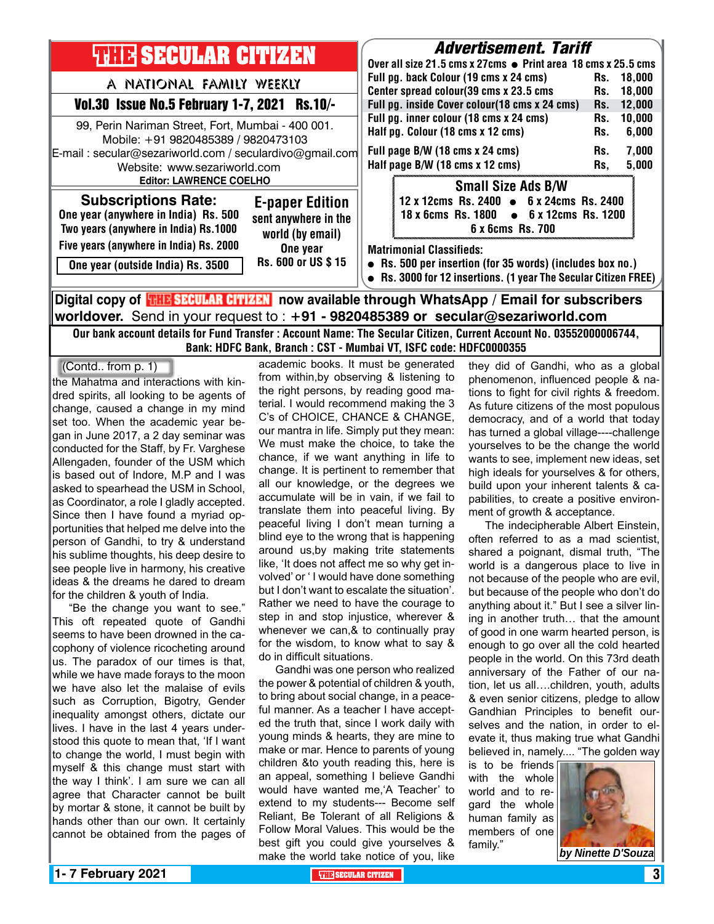|                                                                                                                                                               | Full pg. back Colour (19 cms x 24 cms)<br>Center spread colour(39 cms x 23.5 cms<br>Full pg. inside Cover colour(18 cms x 24 cms)<br>Full pg. inner colour (18 cms x 24 cms)<br>Half pg. Colour (18 cms x 12 cms)<br>Full page B/W (18 cms x 24 cms)<br>Half page B/W (18 cms x 12 cms) | Rs.<br>Rs.<br>Rs.<br>Rs.<br>Rs.<br>Rs.<br>Rs. | 18,000<br>18,000<br>12,000<br>10,000<br>6,000<br>7,000<br>5,000                                                                               |
|---------------------------------------------------------------------------------------------------------------------------------------------------------------|-----------------------------------------------------------------------------------------------------------------------------------------------------------------------------------------------------------------------------------------------------------------------------------------|-----------------------------------------------|-----------------------------------------------------------------------------------------------------------------------------------------------|
|                                                                                                                                                               |                                                                                                                                                                                                                                                                                         |                                               |                                                                                                                                               |
|                                                                                                                                                               |                                                                                                                                                                                                                                                                                         |                                               |                                                                                                                                               |
|                                                                                                                                                               |                                                                                                                                                                                                                                                                                         |                                               |                                                                                                                                               |
|                                                                                                                                                               | <b>Small Size Ads B/W</b><br>6 x 6cms Rs. 700                                                                                                                                                                                                                                           |                                               |                                                                                                                                               |
| <b>Matrimonial Classifieds:</b><br>• Rs. 500 per insertion (for 35 words) (includes box no.)<br>Rs. 3000 for 12 insertions. (1 year The Secular Citizen FREE) |                                                                                                                                                                                                                                                                                         |                                               |                                                                                                                                               |
|                                                                                                                                                               |                                                                                                                                                                                                                                                                                         |                                               | 12 x 12cms Rs. 2400 • 6 x 24cms Rs. 2400<br>18 x 6cms Rs. 1800 • 6 x 12cms Rs. 1200<br>now available through WhatsApp / Fmail for subscribers |

### **Digital copy of now available through WhatsApp / Email for subscribers worldover.** Send in your request to : **+91 - 9820485389 or secular@sezariworld.com**

Our bank account details for Fund Transfer : Account Name: The Secular Citizen, Current Account No. 03552000006744, Bank: HDFC Bank, Branch : CST - Mumbai VT, ISFC code: HDFC0000355

the Mahatma and interactions with kindred spirits, all looking to be agents of change, caused a change in my mind set too. When the academic year began in June 2017, a 2 day seminar was conducted for the Staff, by Fr. Varghese Allengaden, founder of the USM which is based out of Indore, M.P and I was asked to spearhead the USM in School, as Coordinator, a role I gladly accepted. Since then I have found a myriad opportunities that helped me delve into the person of Gandhi, to try & understand his sublime thoughts, his deep desire to see people live in harmony, his creative ideas & the dreams he dared to dream for the children & youth of India. (Contd.. from p. 1)

"Be the change you want to see." This oft repeated quote of Gandhi seems to have been drowned in the cacophony of violence ricocheting around us. The paradox of our times is that, while we have made forays to the moon we have also let the malaise of evils such as Corruption, Bigotry, Gender inequality amongst others, dictate our lives. I have in the last 4 years understood this quote to mean that, 'If I want to change the world, I must begin with myself & this change must start with the way I think'. I am sure we can all agree that Character cannot be built by mortar & stone, it cannot be built by hands other than our own. It certainly cannot be obtained from the pages of

academic books. It must be generated from within,by observing & listening to the right persons, by reading good material. I would recommend making the 3 C's of CHOICE, CHANCE & CHANGE, our mantra in life. Simply put they mean: We must make the choice, to take the chance, if we want anything in life to change. It is pertinent to remember that all our knowledge, or the degrees we accumulate will be in vain, if we fail to translate them into peaceful living. By peaceful living I don't mean turning a blind eye to the wrong that is happening around us,by making trite statements like, 'It does not affect me so why get involved' or ' I would have done something but I don't want to escalate the situation'. Rather we need to have the courage to step in and stop injustice, wherever & whenever we can,& to continually pray for the wisdom, to know what to say & do in difficult situations.

Gandhi was one person who realized the power & potential of children & youth, to bring about social change, in a peaceful manner. As a teacher I have accepted the truth that, since I work daily with young minds & hearts, they are mine to make or mar. Hence to parents of young children &to youth reading this, here is an appeal, something I believe Gandhi would have wanted me,'A Teacher' to extend to my students--- Become self Reliant, Be Tolerant of all Religions & Follow Moral Values. This would be the best gift you could give yourselves & make the world take notice of you, like

they did of Gandhi, who as a global phenomenon, influenced people & nations to fight for civil rights & freedom. As future citizens of the most populous democracy, and of a world that today has turned a global village----challenge yourselves to be the change the world wants to see, implement new ideas, set high ideals for yourselves & for others, build upon your inherent talents & capabilities, to create a positive environment of growth & acceptance.

The indecipherable Albert Einstein, often referred to as a mad scientist, shared a poignant, dismal truth, "The world is a dangerous place to live in not because of the people who are evil, but because of the people who don't do anything about it." But I see a silver lining in another truth… that the amount of good in one warm hearted person, is enough to go over all the cold hearted people in the world. On this 73rd death anniversary of the Father of our nation, let us all….children, youth, adults & even senior citizens, pledge to allow Gandhian Principles to benefit ourselves and the nation, in order to elevate it, thus making true what Gandhi believed in, namely.... "The golden way

is to be friends with the whole world and to regard the whole human family as members of one family."

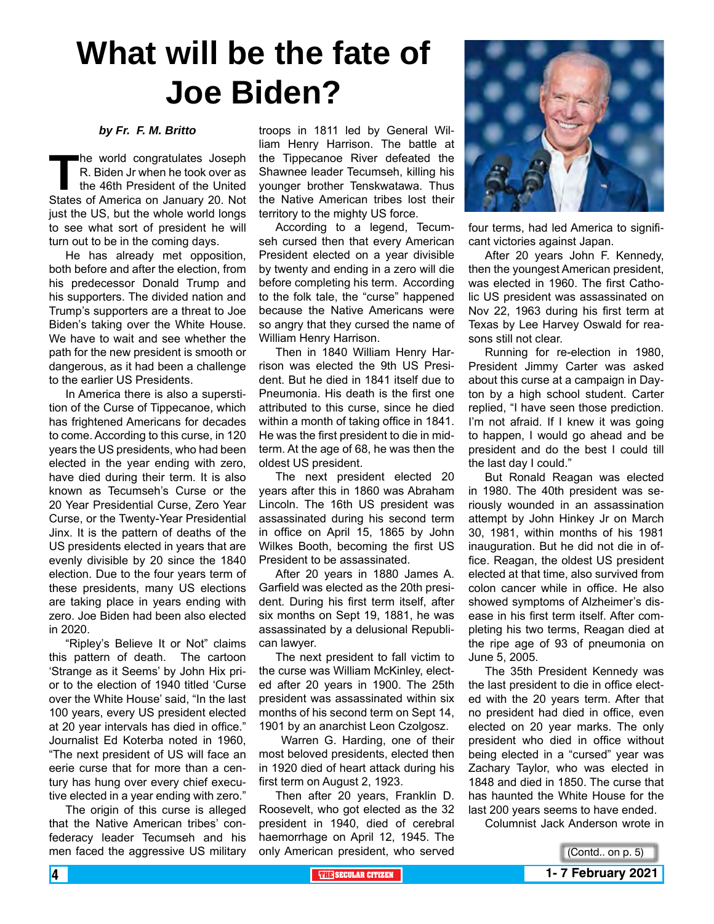# **What will be the fate of Joe Biden?**

#### *by Fr. F. M. Britto*

**The world congratulates Joseph R. Biden Jr when he took over as the 46th President of the United States of America on January 20. Not** R. Biden Jr when he took over as the 46th President of the United just the US, but the whole world longs to see what sort of president he will turn out to be in the coming days.

He has already met opposition, both before and after the election, from his predecessor Donald Trump and his supporters. The divided nation and Trump's supporters are a threat to Joe Biden's taking over the White House. We have to wait and see whether the path for the new president is smooth or dangerous, as it had been a challenge to the earlier US Presidents.

In America there is also a superstition of the Curse of Tippecanoe, which has frightened Americans for decades to come. According to this curse, in 120 years the US presidents, who had been elected in the year ending with zero, have died during their term. It is also known as Tecumseh's Curse or the 20 Year Presidential Curse, Zero Year Curse, or the Twenty-Year Presidential Jinx. It is the pattern of deaths of the US presidents elected in years that are evenly divisible by 20 since the 1840 election. Due to the four years term of these presidents, many US elections are taking place in years ending with zero. Joe Biden had been also elected in 2020.

"Ripley's Believe It or Not" claims this pattern of death. The cartoon 'Strange as it Seems' by John Hix prior to the election of 1940 titled 'Curse over the White House' said, "In the last 100 years, every US president elected at 20 year intervals has died in office." Journalist Ed Koterba noted in 1960, "The next president of US will face an eerie curse that for more than a century has hung over every chief executive elected in a year ending with zero."

The origin of this curse is alleged that the Native American tribes' confederacy leader Tecumseh and his men faced the aggressive US military

troops in 1811 led by General William Henry Harrison. The battle at the Tippecanoe River defeated the Shawnee leader Tecumseh, killing his younger brother Tenskwatawa. Thus the Native American tribes lost their territory to the mighty US force.

According to a legend, Tecumseh cursed then that every American President elected on a year divisible by twenty and ending in a zero will die before completing his term. According to the folk tale, the "curse" happened because the Native Americans were so angry that they cursed the name of William Henry Harrison.

Then in 1840 William Henry Harrison was elected the 9th US President. But he died in 1841 itself due to Pneumonia. His death is the first one attributed to this curse, since he died within a month of taking office in 1841. He was the first president to die in midterm. At the age of 68, he was then the oldest US president.

The next president elected 20 years after this in 1860 was Abraham Lincoln. The 16th US president was assassinated during his second term in office on April 15, 1865 by John Wilkes Booth, becoming the first US President to be assassinated.

After 20 years in 1880 James A. Garfield was elected as the 20th president. During his first term itself, after six months on Sept 19, 1881, he was assassinated by a delusional Republican lawyer.

The next president to fall victim to the curse was William McKinley, elected after 20 years in 1900. The 25th president was assassinated within six months of his second term on Sept 14, 1901 by an anarchist Leon Czolgosz.

 Warren G. Harding, one of their most beloved presidents, elected then in 1920 died of heart attack during his first term on August 2, 1923.

Then after 20 years, Franklin D. Roosevelt, who got elected as the 32 president in 1940, died of cerebral haemorrhage on April 12, 1945. The only American president, who served



four terms, had led America to significant victories against Japan.

After 20 years John F. Kennedy, then the youngest American president, was elected in 1960. The first Catholic US president was assassinated on Nov 22, 1963 during his first term at Texas by Lee Harvey Oswald for reasons still not clear.

Running for re-election in 1980, President Jimmy Carter was asked about this curse at a campaign in Dayton by a high school student. Carter replied, "I have seen those prediction. I'm not afraid. If I knew it was going to happen, I would go ahead and be president and do the best I could till the last day I could."

But Ronald Reagan was elected in 1980. The 40th president was seriously wounded in an assassination attempt by John Hinkey Jr on March 30, 1981, within months of his 1981 inauguration. But he did not die in office. Reagan, the oldest US president elected at that time, also survived from colon cancer while in office. He also showed symptoms of Alzheimer's disease in his first term itself. After completing his two terms, Reagan died at the ripe age of 93 of pneumonia on June 5, 2005.

The 35th President Kennedy was the last president to die in office elected with the 20 years term. After that no president had died in office, even elected on 20 year marks. The only president who died in office without being elected in a "cursed" year was Zachary Taylor, who was elected in 1848 and died in 1850. The curse that has haunted the White House for the last 200 years seems to have ended.

Columnist Jack Anderson wrote in

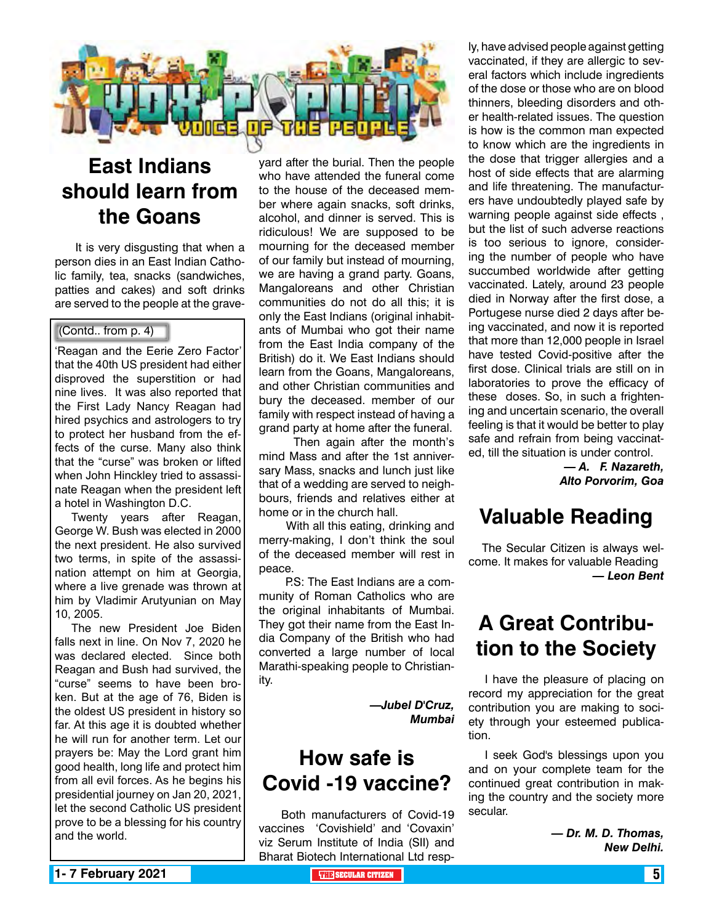

## **East Indians should learn from the Goans**

 It is very disgusting that when a person dies in an East Indian Catholic family, tea, snacks (sandwiches, patties and cakes) and soft drinks are served to the people at the grave-

#### (Contd.. from p. 4)

'Reagan and the Eerie Zero Factor' that the 40th US president had either disproved the superstition or had nine lives. It was also reported that the First Lady Nancy Reagan had hired psychics and astrologers to try to protect her husband from the effects of the curse. Many also think that the "curse" was broken or lifted when John Hinckley tried to assassinate Reagan when the president left a hotel in Washington D.C.

Twenty years after Reagan, George W. Bush was elected in 2000 the next president. He also survived two terms, in spite of the assassination attempt on him at Georgia, where a live grenade was thrown at him by Vladimir Arutyunian on May 10, 2005.

The new President Joe Biden falls next in line. On Nov 7, 2020 he was declared elected. Since both Reagan and Bush had survived, the "curse" seems to have been broken. But at the age of 76, Biden is the oldest US president in history so far. At this age it is doubted whether he will run for another term. Let our prayers be: May the Lord grant him good health, long life and protect him from all evil forces. As he begins his presidential journey on Jan 20, 2021, let the second Catholic US president prove to be a blessing for his country and the world.

yard after the burial. Then the people who have attended the funeral come to the house of the deceased member where again snacks, soft drinks, alcohol, and dinner is served. This is ridiculous! We are supposed to be mourning for the deceased member of our family but instead of mourning, we are having a grand party. Goans, Mangaloreans and other Christian communities do not do all this; it is only the East Indians (original inhabitants of Mumbai who got their name from the East India company of the British) do it. We East Indians should learn from the Goans, Mangaloreans, and other Christian communities and bury the deceased. member of our family with respect instead of having a grand party at home after the funeral.

 Then again after the month's mind Mass and after the 1st anniversary Mass, snacks and lunch just like that of a wedding are served to neighbours, friends and relatives either at home or in the church hall.

 With all this eating, drinking and merry-making, I don't think the soul of the deceased member will rest in peace.

 P.S: The East Indians are a community of Roman Catholics who are the original inhabitants of Mumbai. They got their name from the East India Company of the British who had converted a large number of local Marathi-speaking people to Christianity.

> *—Jubel D'Cruz, Mumbai*

## **How safe is Covid -19 vaccine?**

 Both manufacturers of Covid-19 vaccines 'Covishield' and 'Covaxin' viz Serum Institute of India (SII) and Bharat Biotech International Ltd resp-

ly, have advised people against getting vaccinated, if they are allergic to several factors which include ingredients of the dose or those who are on blood thinners, bleeding disorders and other health-related issues. The question is how is the common man expected to know which are the ingredients in the dose that trigger allergies and a host of side effects that are alarming and life threatening. The manufacturers have undoubtedly played safe by warning people against side effects , but the list of such adverse reactions is too serious to ignore, considering the number of people who have succumbed worldwide after getting vaccinated. Lately, around 23 people died in Norway after the first dose, a Portugese nurse died 2 days after being vaccinated, and now it is reported that more than 12,000 people in Israel have tested Covid-positive after the first dose. Clinical trials are still on in laboratories to prove the efficacy of these doses. So, in such a frightening and uncertain scenario, the overall feeling is that it would be better to play safe and refrain from being vaccinated, till the situation is under control.

> *— A. F. Nazareth, Alto Porvorim, Goa*

## **Valuable Reading**

 The Secular Citizen is always welcome. It makes for valuable Reading *— Leon Bent* 

## **A Great Contribution to the Society**

I have the pleasure of placing on record my appreciation for the great contribution you are making to society through your esteemed publication.

I seek God's blessings upon you and on your complete team for the continued great contribution in making the country and the society more secular.

> *— Dr. M. D. Thomas, New Delhi.*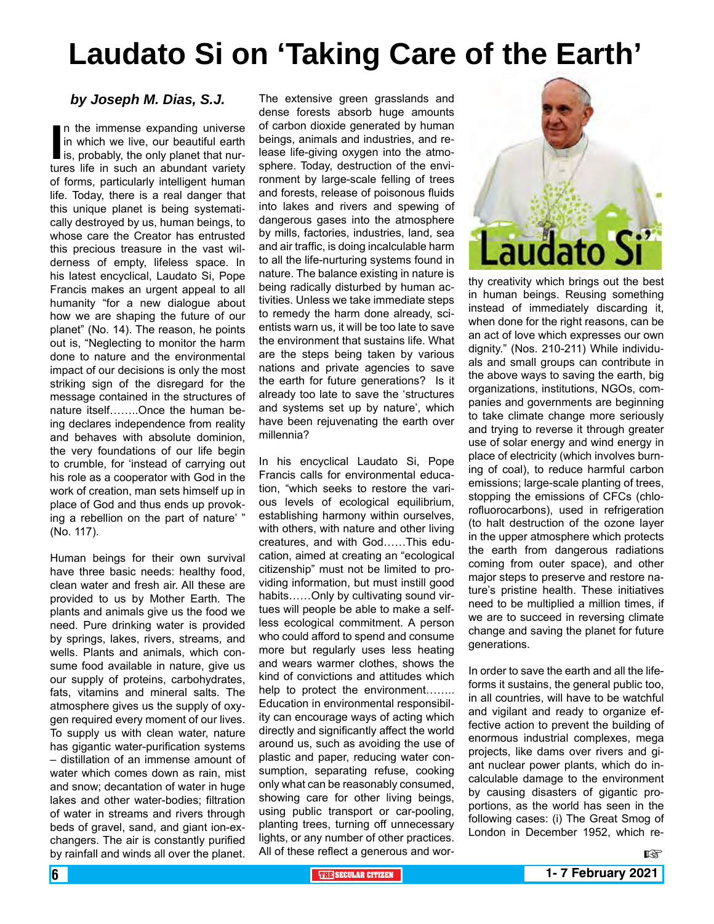# **Laudato Si on 'Taking Care of the Earth'**

#### *by Joseph M. Dias, S.J.*

In the immense expanding universe<br>in which we live, our beautiful earth<br>is, probably, the only planet that nur-<br>tures life in such an abundant variety n the immense expanding universe in which we live, our beautiful earth is, probably, the only planet that nurof forms, particularly intelligent human life. Today, there is a real danger that this unique planet is being systematically destroyed by us, human beings, to whose care the Creator has entrusted this precious treasure in the vast wilderness of empty, lifeless space. In his latest encyclical, Laudato Si, Pope Francis makes an urgent appeal to all humanity "for a new dialogue about how we are shaping the future of our planet" (No. 14). The reason, he points out is, "Neglecting to monitor the harm done to nature and the environmental impact of our decisions is only the most striking sign of the disregard for the message contained in the structures of nature itself……..Once the human being declares independence from reality and behaves with absolute dominion, the very foundations of our life begin to crumble, for 'instead of carrying out his role as a cooperator with God in the work of creation, man sets himself up in place of God and thus ends up provoking a rebellion on the part of nature' " (No. 117).

Human beings for their own survival have three basic needs: healthy food, clean water and fresh air. All these are provided to us by Mother Earth. The plants and animals give us the food we need. Pure drinking water is provided by springs, lakes, rivers, streams, and wells. Plants and animals, which consume food available in nature, give us our supply of proteins, carbohydrates, fats, vitamins and mineral salts. The atmosphere gives us the supply of oxygen required every moment of our lives. To supply us with clean water, nature has gigantic water-purification systems – distillation of an immense amount of water which comes down as rain, mist and snow; decantation of water in huge lakes and other water-bodies; filtration of water in streams and rivers through beds of gravel, sand, and giant ion-exchangers. The air is constantly purified by rainfall and winds all over the planet.

The extensive green grasslands and dense forests absorb huge amounts of carbon dioxide generated by human beings, animals and industries, and release life-giving oxygen into the atmosphere. Today, destruction of the environment by large-scale felling of trees and forests, release of poisonous fluids into lakes and rivers and spewing of dangerous gases into the atmosphere by mills, factories, industries, land, sea and air traffic, is doing incalculable harm to all the life-nurturing systems found in nature. The balance existing in nature is being radically disturbed by human activities. Unless we take immediate steps to remedy the harm done already, scientists warn us, it will be too late to save the environment that sustains life. What are the steps being taken by various nations and private agencies to save the earth for future generations? Is it already too late to save the 'structures and systems set up by nature', which have been rejuvenating the earth over millennia?

In his encyclical Laudato Si, Pope Francis calls for environmental education, "which seeks to restore the various levels of ecological equilibrium, establishing harmony within ourselves, with others, with nature and other living creatures, and with God……This education, aimed at creating an "ecological citizenship" must not be limited to providing information, but must instill good habits……Only by cultivating sound virtues will people be able to make a selfless ecological commitment. A person who could afford to spend and consume more but regularly uses less heating and wears warmer clothes, shows the kind of convictions and attitudes which help to protect the environment…….. Education in environmental responsibility can encourage ways of acting which directly and significantly affect the world around us, such as avoiding the use of plastic and paper, reducing water consumption, separating refuse, cooking only what can be reasonably consumed, showing care for other living beings, using public transport or car-pooling, planting trees, turning off unnecessary lights, or any number of other practices. All of these reflect a generous and wor-



thy creativity which brings out the best in human beings. Reusing something instead of immediately discarding it, when done for the right reasons, can be an act of love which expresses our own dignity." (Nos. 210-211) While individuals and small groups can contribute in the above ways to saving the earth, big organizations, institutions, NGOs, companies and governments are beginning to take climate change more seriously and trying to reverse it through greater use of solar energy and wind energy in place of electricity (which involves burning of coal), to reduce harmful carbon emissions; large-scale planting of trees, stopping the emissions of CFCs (chlorofluorocarbons), used in refrigeration (to halt destruction of the ozone layer in the upper atmosphere which protects the earth from dangerous radiations coming from outer space), and other major steps to preserve and restore nature's pristine health. These initiatives need to be multiplied a million times, if we are to succeed in reversing climate change and saving the planet for future generations.

In order to save the earth and all the lifeforms it sustains, the general public too, in all countries, will have to be watchful and vigilant and ready to organize effective action to prevent the building of enormous industrial complexes, mega projects, like dams over rivers and giant nuclear power plants, which do incalculable damage to the environment by causing disasters of gigantic proportions, as the world has seen in the following cases: (i) The Great Smog of London in December 1952, which re-

哸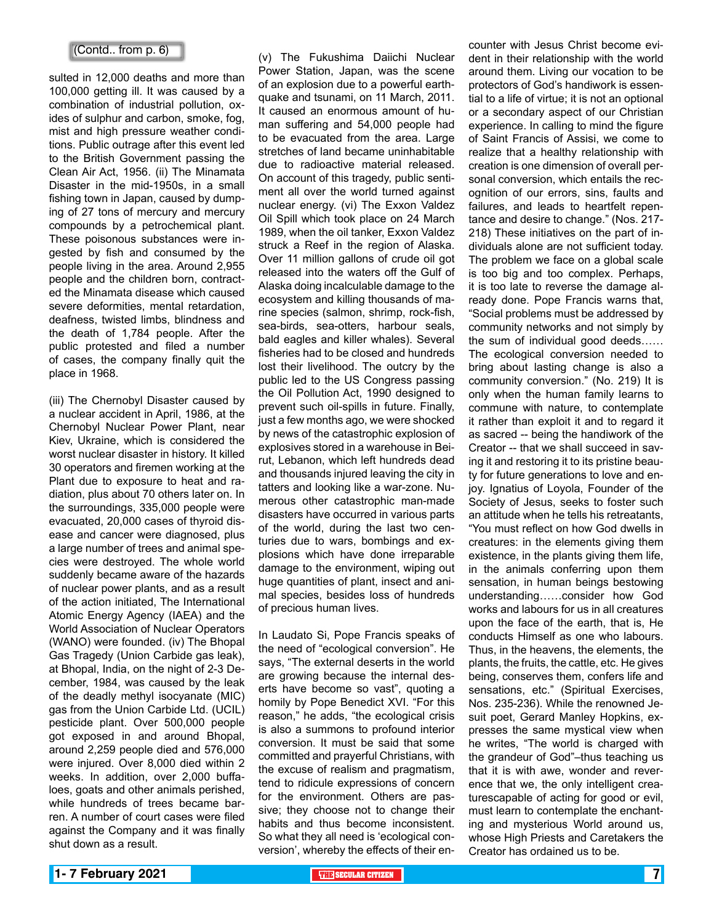#### (Contd.. from p. 6)

sulted in 12,000 deaths and more than 100,000 getting ill. It was caused by a combination of industrial pollution, oxides of sulphur and carbon, smoke, fog, mist and high pressure weather conditions. Public outrage after this event led to the British Government passing the Clean Air Act, 1956. (ii) The Minamata Disaster in the mid-1950s, in a small fishing town in Japan, caused by dumping of 27 tons of mercury and mercury compounds by a petrochemical plant. These poisonous substances were ingested by fish and consumed by the people living in the area. Around 2,955 people and the children born, contracted the Minamata disease which caused severe deformities, mental retardation, deafness, twisted limbs, blindness and the death of 1,784 people. After the public protested and filed a number of cases, the company finally quit the place in 1968.

(iii) The Chernobyl Disaster caused by a nuclear accident in April, 1986, at the Chernobyl Nuclear Power Plant, near Kiev, Ukraine, which is considered the worst nuclear disaster in history. It killed 30 operators and firemen working at the Plant due to exposure to heat and radiation, plus about 70 others later on. In the surroundings, 335,000 people were evacuated, 20,000 cases of thyroid disease and cancer were diagnosed, plus a large number of trees and animal species were destroyed. The whole world suddenly became aware of the hazards of nuclear power plants, and as a result of the action initiated, The International Atomic Energy Agency (IAEA) and the World Association of Nuclear Operators (WANO) were founded. (iv) The Bhopal Gas Tragedy (Union Carbide gas leak), at Bhopal, India, on the night of 2-3 December, 1984, was caused by the leak of the deadly methyl isocyanate (MIC) gas from the Union Carbide Ltd. (UCIL) pesticide plant. Over 500,000 people got exposed in and around Bhopal, around 2,259 people died and 576,000 were injured. Over 8,000 died within 2 weeks. In addition, over 2,000 buffaloes, goats and other animals perished, while hundreds of trees became barren. A number of court cases were filed against the Company and it was finally shut down as a result.

(v) The Fukushima Daiichi Nuclear Power Station, Japan, was the scene of an explosion due to a powerful earthquake and tsunami, on 11 March, 2011. It caused an enormous amount of human suffering and 54,000 people had to be evacuated from the area. Large stretches of land became uninhabitable due to radioactive material released. On account of this tragedy, public sentiment all over the world turned against nuclear energy. (vi) The Exxon Valdez Oil Spill which took place on 24 March 1989, when the oil tanker, Exxon Valdez struck a Reef in the region of Alaska. Over 11 million gallons of crude oil got released into the waters off the Gulf of Alaska doing incalculable damage to the ecosystem and killing thousands of marine species (salmon, shrimp, rock-fish, sea-birds, sea-otters, harbour seals, bald eagles and killer whales). Several fisheries had to be closed and hundreds lost their livelihood. The outcry by the public led to the US Congress passing the Oil Pollution Act, 1990 designed to prevent such oil-spills in future. Finally, just a few months ago, we were shocked by news of the catastrophic explosion of explosives stored in a warehouse in Beirut, Lebanon, which left hundreds dead and thousands injured leaving the city in tatters and looking like a war-zone. Numerous other catastrophic man-made disasters have occurred in various parts of the world, during the last two centuries due to wars, bombings and explosions which have done irreparable damage to the environment, wiping out huge quantities of plant, insect and animal species, besides loss of hundreds of precious human lives.

In Laudato Si, Pope Francis speaks of the need of "ecological conversion". He says, "The external deserts in the world are growing because the internal deserts have become so vast", quoting a homily by Pope Benedict XVI. "For this reason," he adds, "the ecological crisis is also a summons to profound interior conversion. It must be said that some committed and prayerful Christians, with the excuse of realism and pragmatism, tend to ridicule expressions of concern for the environment. Others are passive; they choose not to change their habits and thus become inconsistent. So what they all need is 'ecological conversion', whereby the effects of their en-

counter with Jesus Christ become evident in their relationship with the world around them. Living our vocation to be protectors of God's handiwork is essential to a life of virtue; it is not an optional or a secondary aspect of our Christian experience. In calling to mind the figure of Saint Francis of Assisi, we come to realize that a healthy relationship with creation is one dimension of overall personal conversion, which entails the recognition of our errors, sins, faults and failures, and leads to heartfelt repentance and desire to change." (Nos. 217- 218) These initiatives on the part of individuals alone are not sufficient today. The problem we face on a global scale is too big and too complex. Perhaps, it is too late to reverse the damage already done. Pope Francis warns that, "Social problems must be addressed by community networks and not simply by the sum of individual good deeds…… The ecological conversion needed to bring about lasting change is also a community conversion." (No. 219) It is only when the human family learns to commune with nature, to contemplate it rather than exploit it and to regard it as sacred -- being the handiwork of the Creator -- that we shall succeed in saving it and restoring it to its pristine beauty for future generations to love and enjoy. Ignatius of Loyola, Founder of the Society of Jesus, seeks to foster such an attitude when he tells his retreatants, "You must reflect on how God dwells in creatures: in the elements giving them existence, in the plants giving them life, in the animals conferring upon them sensation, in human beings bestowing understanding……consider how God works and labours for us in all creatures upon the face of the earth, that is, He conducts Himself as one who labours. Thus, in the heavens, the elements, the plants, the fruits, the cattle, etc. He gives being, conserves them, confers life and sensations, etc." (Spiritual Exercises, Nos. 235-236). While the renowned Jesuit poet, Gerard Manley Hopkins, expresses the same mystical view when he writes, "The world is charged with the grandeur of God"–thus teaching us that it is with awe, wonder and reverence that we, the only intelligent creaturescapable of acting for good or evil, must learn to contemplate the enchanting and mysterious World around us, whose High Priests and Caretakers the Creator has ordained us to be.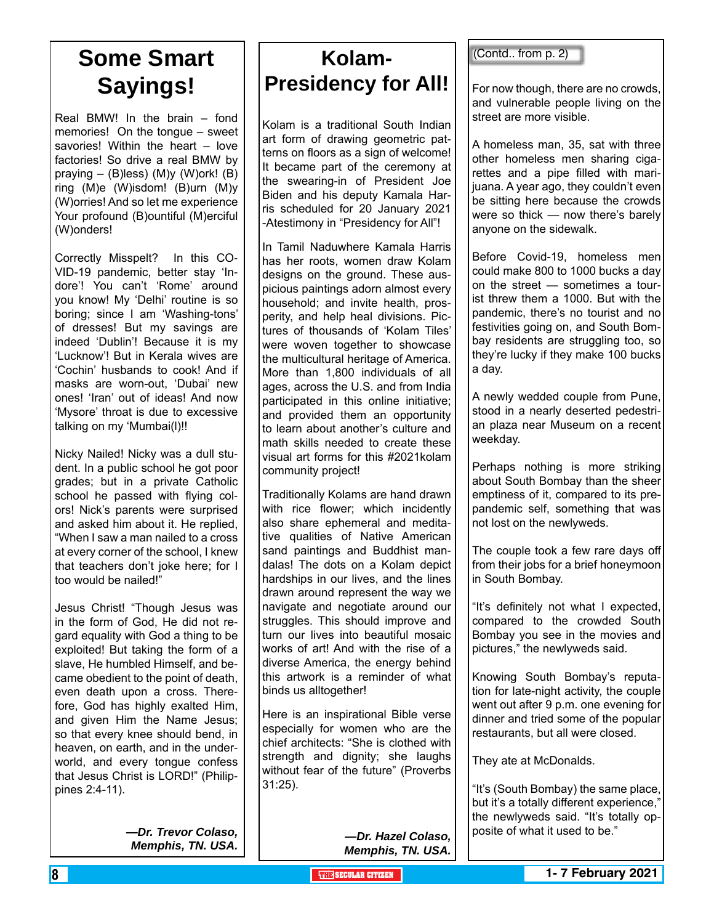## **Some Smart Sayings!**

Real BMW! In the brain – fond memories! On the tongue – sweet savories! Within the heart – love factories! So drive a real BMW by praying – (B)less) (M)y (W)ork! (B) ring (M)e (W)isdom! (B)urn (M)y (W)orries! And so let me experience Your profound (B)ountiful (M)erciful (W)onders!

Correctly Misspelt? In this CO-VID-19 pandemic, better stay 'Indore'! You can't 'Rome' around you know! My 'Delhi' routine is so boring; since I am 'Washing-tons' of dresses! But my savings are indeed 'Dublin'! Because it is my 'Lucknow'! But in Kerala wives are 'Cochin' husbands to cook! And if masks are worn-out, 'Dubai' new ones! 'Iran' out of ideas! And now 'Mysore' throat is due to excessive talking on my 'Mumbai(l)!!

Nicky Nailed! Nicky was a dull student. In a public school he got poor grades; but in a private Catholic school he passed with flying colors! Nick's parents were surprised and asked him about it. He replied, "When I saw a man nailed to a cross at every corner of the school, I knew that teachers don't joke here; for I too would be nailed!"

Jesus Christ! "Though Jesus was in the form of God, He did not regard equality with God a thing to be exploited! But taking the form of a slave, He humbled Himself, and became obedient to the point of death, even death upon a cross. Therefore, God has highly exalted Him, and given Him the Name Jesus; so that every knee should bend, in heaven, on earth, and in the underworld, and every tongue confess that Jesus Christ is LORD!" (Philippines 2:4-11).

> *—Dr. Trevor Colaso, Memphis, TN. USA.*

## **Kolam-Presidency for All!**

Kolam is a traditional South Indian art form of drawing geometric patterns on floors as a sign of welcome! It became part of the ceremony at the swearing-in of President Joe Biden and his deputy Kamala Harris scheduled for 20 January 2021 -Atestimony in "Presidency for All"!

In Tamil Naduwhere Kamala Harris has her roots, women draw Kolam designs on the ground. These auspicious paintings adorn almost every household; and invite health, prosperity, and help heal divisions. Pictures of thousands of 'Kolam Tiles' were woven together to showcase the multicultural heritage of America. More than 1,800 individuals of all ages, across the U.S. and from India participated in this online initiative; and provided them an opportunity to learn about another's culture and math skills needed to create these visual art forms for this #2021kolam community project!

Traditionally Kolams are hand drawn with rice flower; which incidently also share ephemeral and meditative qualities of Native American sand paintings and Buddhist mandalas! The dots on a Kolam depict hardships in our lives, and the lines drawn around represent the way we navigate and negotiate around our struggles. This should improve and turn our lives into beautiful mosaic works of art! And with the rise of a diverse America, the energy behind this artwork is a reminder of what binds us alltogether!

Here is an inspirational Bible verse especially for women who are the chief architects: "She is clothed with strength and dignity; she laughs without fear of the future" (Proverbs 31:25).

(Contd.. from p. 2)

For now though, there are no crowds, and vulnerable people living on the street are more visible.

A homeless man, 35, sat with three other homeless men sharing cigarettes and a pipe filled with marijuana. A year ago, they couldn't even be sitting here because the crowds were so thick — now there's barely anyone on the sidewalk.

Before Covid-19, homeless men could make 800 to 1000 bucks a day on the street — sometimes a tourist threw them a 1000. But with the pandemic, there's no tourist and no festivities going on, and South Bombay residents are struggling too, so they're lucky if they make 100 bucks a day.

A newly wedded couple from Pune, stood in a nearly deserted pedestrian plaza near Museum on a recent weekday.

Perhaps nothing is more striking about South Bombay than the sheer emptiness of it, compared to its prepandemic self, something that was not lost on the newlyweds.

The couple took a few rare days off from their jobs for a brief honeymoon in South Bombay.

"It's definitely not what I expected, compared to the crowded South Bombay you see in the movies and pictures," the newlyweds said.

Knowing South Bombay's reputation for late-night activity, the couple went out after 9 p.m. one evening for dinner and tried some of the popular restaurants, but all were closed.

They ate at McDonalds.

"It's (South Bombay) the same place, but it's a totally different experience," the newlyweds said. "It's totally opposite of what it used to be."

*—Dr. Hazel Colaso, Memphis, TN. USA.*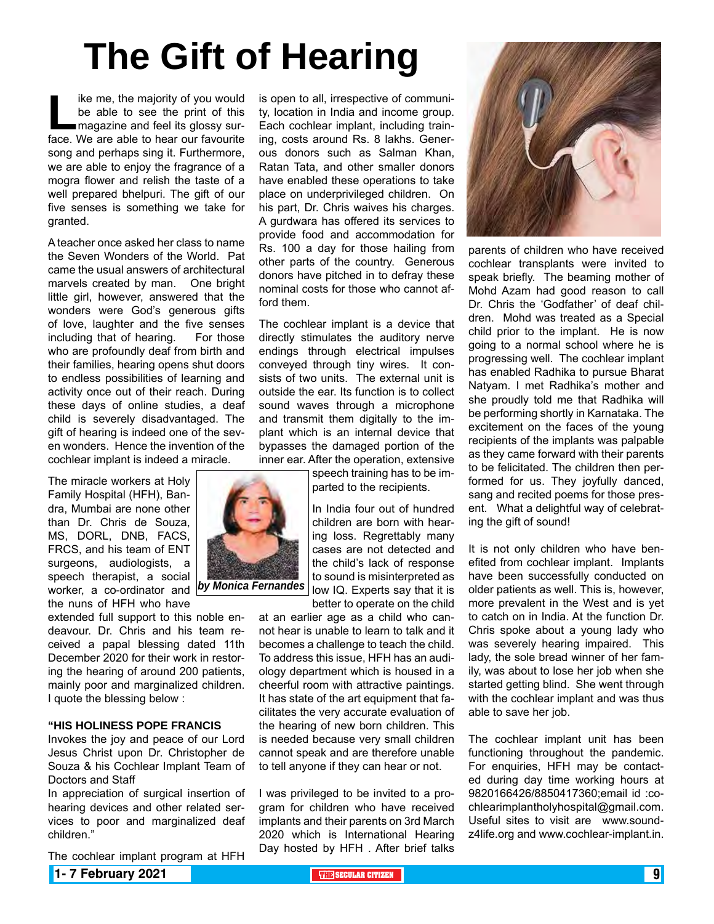# **The Gift of Hearing**

**Like me, the majority of you would<br>be able to see the print of this<br>magazine and feel its glossy sur-<br>face. We are able to hear our favourite** be able to see the print of this magazine and feel its glossy surface. We are able to hear our favourite song and perhaps sing it. Furthermore, we are able to enjoy the fragrance of a mogra flower and relish the taste of a well prepared bhelpuri. The gift of our five senses is something we take for granted.

A teacher once asked her class to name the Seven Wonders of the World. Pat came the usual answers of architectural marvels created by man. One bright little girl, however, answered that the wonders were God's generous gifts of love, laughter and the five senses including that of hearing. For those who are profoundly deaf from birth and their families, hearing opens shut doors to endless possibilities of learning and activity once out of their reach. During these days of online studies, a deaf child is severely disadvantaged. The gift of hearing is indeed one of the seven wonders. Hence the invention of the cochlear implant is indeed a miracle.

The miracle workers at Holy Family Hospital (HFH), Bandra, Mumbai are none other than Dr. Chris de Souza, MS, DORL, DNB, FACS, FRCS, and his team of ENT surgeons, audiologists, a speech therapist, a social worker, a co-ordinator and *by Monica Fernandes*the nuns of HFH who have

extended full support to this noble endeavour. Dr. Chris and his team received a papal blessing dated 11th December 2020 for their work in restoring the hearing of around 200 patients, mainly poor and marginalized children. I quote the blessing below :

#### **"HIS HOLINESS POPE FRANCIS**

Invokes the joy and peace of our Lord Jesus Christ upon Dr. Christopher de Souza & his Cochlear Implant Team of Doctors and Staff

In appreciation of surgical insertion of hearing devices and other related services to poor and marginalized deaf children."

The cochlear implant program at HFH

is open to all, irrespective of community, location in India and income group. Each cochlear implant, including training, costs around Rs. 8 lakhs. Generous donors such as Salman Khan, Ratan Tata, and other smaller donors have enabled these operations to take place on underprivileged children. On his part, Dr. Chris waives his charges. A gurdwara has offered its services to provide food and accommodation for Rs. 100 a day for those hailing from other parts of the country. Generous donors have pitched in to defray these nominal costs for those who cannot afford them.

The cochlear implant is a device that directly stimulates the auditory nerve endings through electrical impulses conveyed through tiny wires. It consists of two units. The external unit is outside the ear. Its function is to collect sound waves through a microphone and transmit them digitally to the implant which is an internal device that bypasses the damaged portion of the inner ear. After the operation, extensive

speech training has to be imparted to the recipients.

In India four out of hundred children are born with hearing loss. Regrettably many cases are not detected and the child's lack of response to sound is misinterpreted as low IQ. Experts say that it is better to operate on the child

at an earlier age as a child who cannot hear is unable to learn to talk and it becomes a challenge to teach the child. To address this issue, HFH has an audiology department which is housed in a cheerful room with attractive paintings. It has state of the art equipment that facilitates the very accurate evaluation of the hearing of new born children. This is needed because very small children cannot speak and are therefore unable to tell anyone if they can hear or not.

I was privileged to be invited to a program for children who have received implants and their parents on 3rd March 2020 which is International Hearing Day hosted by HFH . After brief talks



parents of children who have received cochlear transplants were invited to speak briefly. The beaming mother of Mohd Azam had good reason to call Dr. Chris the 'Godfather' of deaf children. Mohd was treated as a Special child prior to the implant. He is now going to a normal school where he is progressing well. The cochlear implant has enabled Radhika to pursue Bharat Natyam. I met Radhika's mother and she proudly told me that Radhika will be performing shortly in Karnataka. The excitement on the faces of the young recipients of the implants was palpable as they came forward with their parents to be felicitated. The children then performed for us. They joyfully danced, sang and recited poems for those present. What a delightful way of celebrating the gift of sound!

It is not only children who have benefited from cochlear implant. Implants have been successfully conducted on older patients as well. This is, however, more prevalent in the West and is yet to catch on in India. At the function Dr. Chris spoke about a young lady who was severely hearing impaired. This lady, the sole bread winner of her family, was about to lose her job when she started getting blind. She went through with the cochlear implant and was thus able to save her job.

The cochlear implant unit has been functioning throughout the pandemic. For enquiries, HFH may be contacted during day time working hours at 9820166426/8850417360;email id :cochlearimplantholyhospital@gmail.com. Useful sites to visit are www.soundz4life.org and www.cochlear-implant.in.

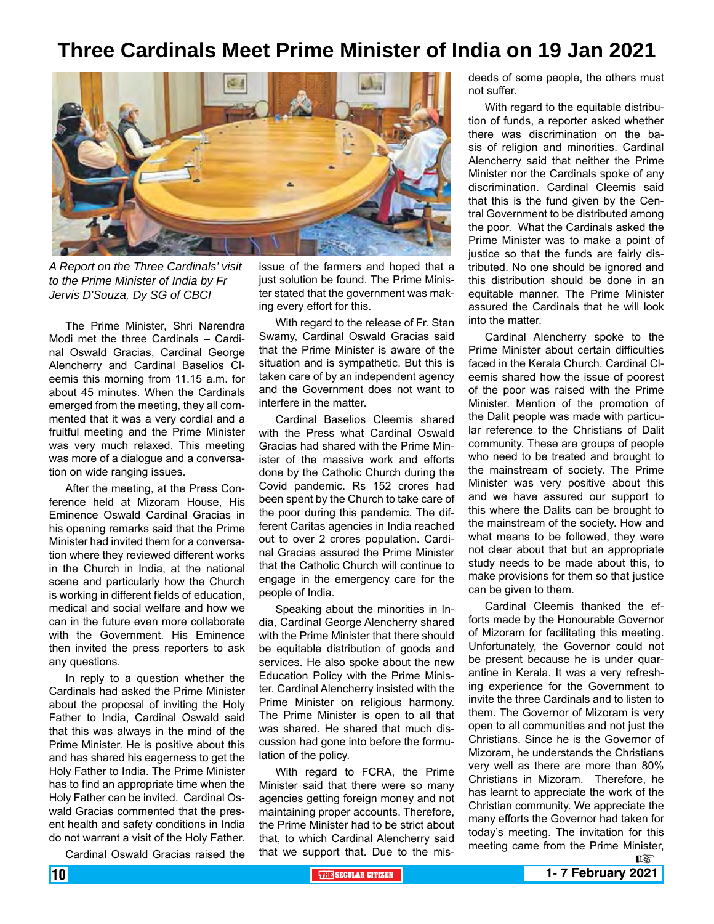## **Three Cardinals Meet Prime Minister of India on 19 Jan 2021**



*A Report on the Three Cardinals' visit to the Prime Minister of India by Fr Jervis D'Souza, Dy SG of CBCI*

The Prime Minister, Shri Narendra Modi met the three Cardinals – Cardinal Oswald Gracias, Cardinal George Alencherry and Cardinal Baselios Cleemis this morning from 11.15 a.m. for about 45 minutes. When the Cardinals emerged from the meeting, they all commented that it was a very cordial and a fruitful meeting and the Prime Minister was very much relaxed. This meeting was more of a dialogue and a conversation on wide ranging issues.

After the meeting, at the Press Conference held at Mizoram House, His Eminence Oswald Cardinal Gracias in his opening remarks said that the Prime Minister had invited them for a conversation where they reviewed different works in the Church in India, at the national scene and particularly how the Church is working in different fields of education, medical and social welfare and how we can in the future even more collaborate with the Government. His Eminence then invited the press reporters to ask any questions.

In reply to a question whether the Cardinals had asked the Prime Minister about the proposal of inviting the Holy Father to India, Cardinal Oswald said that this was always in the mind of the Prime Minister. He is positive about this and has shared his eagerness to get the Holy Father to India. The Prime Minister has to find an appropriate time when the Holy Father can be invited. Cardinal Oswald Gracias commented that the present health and safety conditions in India do not warrant a visit of the Holy Father.

Cardinal Oswald Gracias raised the

issue of the farmers and hoped that a just solution be found. The Prime Minister stated that the government was making every effort for this.

With regard to the release of Fr. Stan Swamy, Cardinal Oswald Gracias said that the Prime Minister is aware of the situation and is sympathetic. But this is taken care of by an independent agency and the Government does not want to interfere in the matter.

Cardinal Baselios Cleemis shared with the Press what Cardinal Oswald Gracias had shared with the Prime Minister of the massive work and efforts done by the Catholic Church during the Covid pandemic. Rs 152 crores had been spent by the Church to take care of the poor during this pandemic. The different Caritas agencies in India reached out to over 2 crores population. Cardinal Gracias assured the Prime Minister that the Catholic Church will continue to engage in the emergency care for the people of India.

Speaking about the minorities in India, Cardinal George Alencherry shared with the Prime Minister that there should be equitable distribution of goods and services. He also spoke about the new Education Policy with the Prime Minister. Cardinal Alencherry insisted with the Prime Minister on religious harmony. The Prime Minister is open to all that was shared. He shared that much discussion had gone into before the formulation of the policy.

With regard to FCRA, the Prime Minister said that there were so many agencies getting foreign money and not maintaining proper accounts. Therefore, the Prime Minister had to be strict about that, to which Cardinal Alencherry said that we support that. Due to the misdeeds of some people, the others must not suffer.

With regard to the equitable distribution of funds, a reporter asked whether there was discrimination on the basis of religion and minorities. Cardinal Alencherry said that neither the Prime Minister nor the Cardinals spoke of any discrimination. Cardinal Cleemis said that this is the fund given by the Central Government to be distributed among the poor. What the Cardinals asked the Prime Minister was to make a point of justice so that the funds are fairly distributed. No one should be ignored and this distribution should be done in an equitable manner. The Prime Minister assured the Cardinals that he will look into the matter.

Cardinal Alencherry spoke to the Prime Minister about certain difficulties faced in the Kerala Church. Cardinal Cleemis shared how the issue of poorest of the poor was raised with the Prime Minister. Mention of the promotion of the Dalit people was made with particular reference to the Christians of Dalit community. These are groups of people who need to be treated and brought to the mainstream of society. The Prime Minister was very positive about this and we have assured our support to this where the Dalits can be brought to the mainstream of the society. How and what means to be followed, they were not clear about that but an appropriate study needs to be made about this, to make provisions for them so that justice can be given to them.

Cardinal Cleemis thanked the efforts made by the Honourable Governor of Mizoram for facilitating this meeting. Unfortunately, the Governor could not be present because he is under quarantine in Kerala. It was a very refreshing experience for the Government to invite the three Cardinals and to listen to them. The Governor of Mizoram is very open to all communities and not just the Christians. Since he is the Governor of Mizoram, he understands the Christians very well as there are more than 80% Christians in Mizoram. Therefore, he has learnt to appreciate the work of the Christian community. We appreciate the many efforts the Governor had taken for today's meeting. The invitation for this meeting came from the Prime Minister,

 $\mathbb{R}$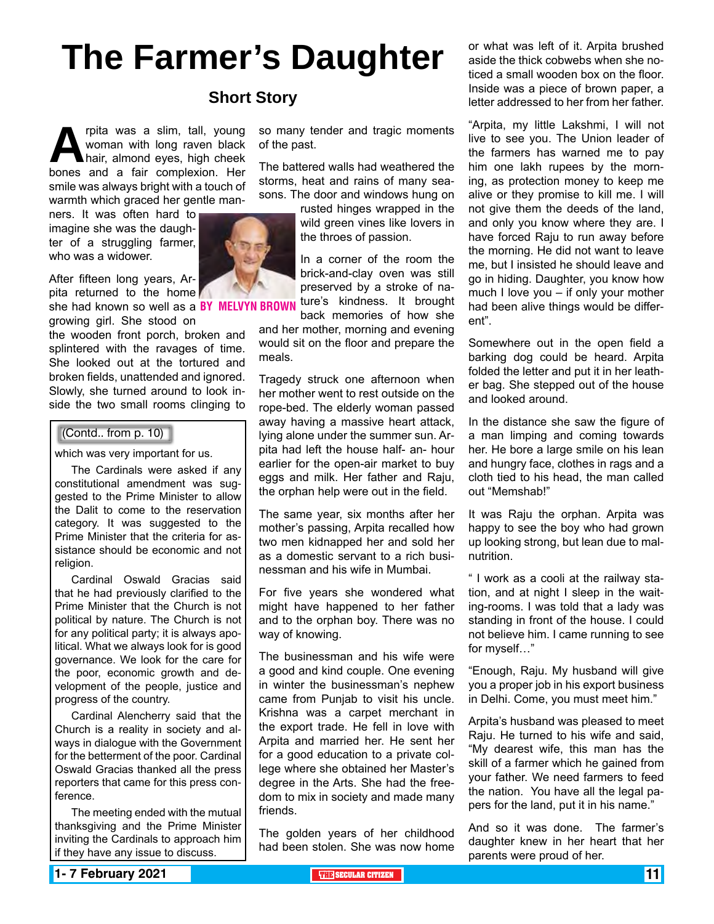# **The Farmer's Daughter**

## **Short Story**

**Algeberry Woman with long raven black**<br>
bones and a fair complexion. Her woman with long raven black hair, almond eyes, high cheek smile was always bright with a touch of warmth which graced her gentle man-

ners. It was often hard to imagine she was the daughter of a struggling farmer, who was a widower.

After fifteen long years, Arpita returned to the home

she had known so well as a BY MELVYN BROWN ture's kindness. It brought growing girl. She stood on

the wooden front porch, broken and splintered with the ravages of time. She looked out at the tortured and broken fields, unattended and ignored. Slowly, she turned around to look inside the two small rooms clinging to

#### (Contd.. from p. 10)

which was very important for us.

The Cardinals were asked if any constitutional amendment was suggested to the Prime Minister to allow the Dalit to come to the reservation category. It was suggested to the Prime Minister that the criteria for assistance should be economic and not religion.

Cardinal Oswald Gracias said that he had previously clarified to the Prime Minister that the Church is not political by nature. The Church is not for any political party; it is always apolitical. What we always look for is good governance. We look for the care for the poor, economic growth and development of the people, justice and progress of the country.

Cardinal Alencherry said that the Church is a reality in society and always in dialogue with the Government for the betterment of the poor. Cardinal Oswald Gracias thanked all the press reporters that came for this press conference.

The meeting ended with the mutual thanksgiving and the Prime Minister inviting the Cardinals to approach him if they have any issue to discuss.

so many tender and tragic moments of the past.

The battered walls had weathered the storms, heat and rains of many seasons. The door and windows hung on

> rusted hinges wrapped in the wild green vines like lovers in the throes of passion.

> In a corner of the room the brick-and-clay oven was still preserved by a stroke of na-

back memories of how she and her mother, morning and evening would sit on the floor and prepare the meals.

Tragedy struck one afternoon when her mother went to rest outside on the rope-bed. The elderly woman passed away having a massive heart attack, lying alone under the summer sun. Arpita had left the house half- an- hour earlier for the open-air market to buy eggs and milk. Her father and Raju, the orphan help were out in the field.

The same year, six months after her mother's passing, Arpita recalled how two men kidnapped her and sold her as a domestic servant to a rich businessman and his wife in Mumbai.

For five years she wondered what might have happened to her father and to the orphan boy. There was no way of knowing.

The businessman and his wife were a good and kind couple. One evening in winter the businessman's nephew came from Punjab to visit his uncle. Krishna was a carpet merchant in the export trade. He fell in love with Arpita and married her. He sent her for a good education to a private college where she obtained her Master's degree in the Arts. She had the freedom to mix in society and made many friends.

The golden years of her childhood had been stolen. She was now home or what was left of it. Arpita brushed aside the thick cobwebs when she noticed a small wooden box on the floor. Inside was a piece of brown paper, a letter addressed to her from her father.

"Arpita, my little Lakshmi, I will not live to see you. The Union leader of the farmers has warned me to pay him one lakh rupees by the morning, as protection money to keep me alive or they promise to kill me. I will not give them the deeds of the land, and only you know where they are. I have forced Raju to run away before the morning. He did not want to leave me, but I insisted he should leave and go in hiding. Daughter, you know how much I love you – if only your mother had been alive things would be different".

Somewhere out in the open field a barking dog could be heard. Arpita folded the letter and put it in her leather bag. She stepped out of the house and looked around.

In the distance she saw the figure of a man limping and coming towards her. He bore a large smile on his lean and hungry face, clothes in rags and a cloth tied to his head, the man called out "Memshab!"

It was Raju the orphan. Arpita was happy to see the boy who had grown up looking strong, but lean due to malnutrition.

" I work as a cooli at the railway station, and at night I sleep in the waiting-rooms. I was told that a lady was standing in front of the house. I could not believe him. I came running to see for myself…"

"Enough, Raju. My husband will give you a proper job in his export business in Delhi. Come, you must meet him."

Arpita's husband was pleased to meet Raju. He turned to his wife and said, "My dearest wife, this man has the skill of a farmer which he gained from your father. We need farmers to feed the nation. You have all the legal papers for the land, put it in his name."

And so it was done. The farmer's daughter knew in her heart that her parents were proud of her.

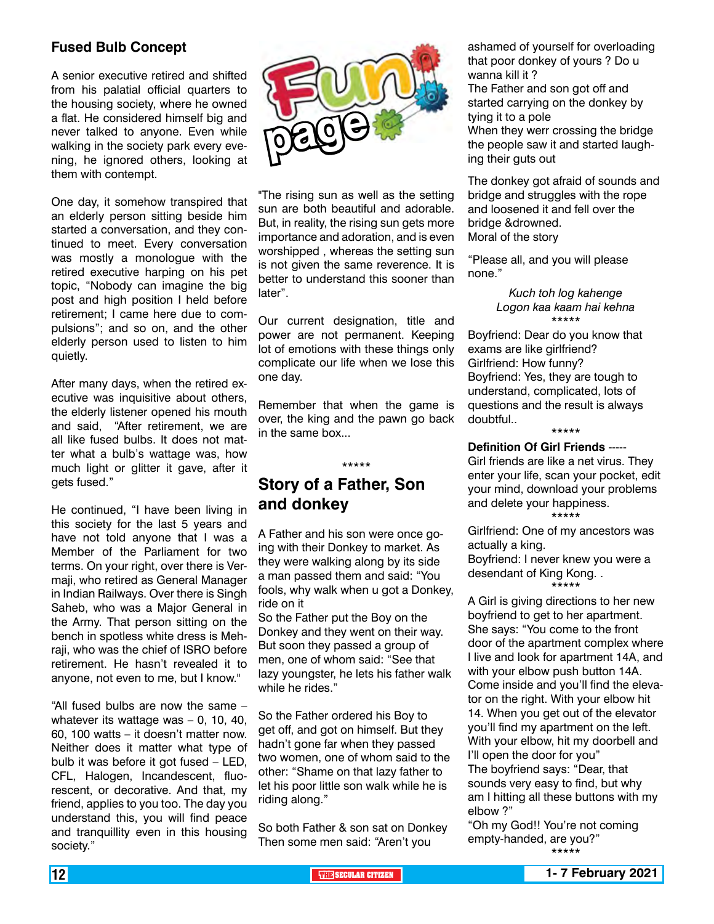#### **Fused Bulb Concept**

A senior executive retired and shifted from his palatial official quarters to the housing society, where he owned a flat. He considered himself big and never talked to anyone. Even while walking in the society park every evening, he ignored others, looking at them with contempt.

One day, it somehow transpired that an elderly person sitting beside him started a conversation, and they continued to meet. Every conversation was mostly a monologue with the retired executive harping on his pet topic, "Nobody can imagine the big post and high position I held before retirement; I came here due to compulsions"; and so on, and the other elderly person used to listen to him quietly.

After many days, when the retired executive was inquisitive about others, the elderly listener opened his mouth and said, "After retirement, we are all like fused bulbs. It does not matter what a bulb's wattage was, how much light or glitter it gave, after it gets fused."

He continued, "I have been living in this society for the last 5 years and have not told anyone that I was a Member of the Parliament for two terms. On your right, over there is Vermaji, who retired as General Manager in Indian Railways. Over there is Singh Saheb, who was a Major General in the Army. That person sitting on the bench in spotless white dress is Mehraji, who was the chief of ISRO before retirement. He hasn't revealed it to anyone, not even to me, but I know."

"All fused bulbs are now the same – whatever its wattage was – 0, 10, 40, 60, 100 watts – it doesn't matter now. Neither does it matter what type of bulb it was before it got fused – LED, CFL, Halogen, Incandescent, fluorescent, or decorative. And that, my friend, applies to you too. The day you understand this, you will find peace and tranquillity even in this housing society."



"The rising sun as well as the setting sun are both beautiful and adorable. But, in reality, the rising sun gets more importance and adoration, and is even worshipped , whereas the setting sun is not given the same reverence. It is better to understand this sooner than later".

Our current designation, title and power are not permanent. Keeping lot of emotions with these things only complicate our life when we lose this one day.

Remember that when the game is over, the king and the pawn go back in the same box...

\*\*\*\*\*

## **Story of a Father, Son and donkey**

A Father and his son were once going with their Donkey to market. As they were walking along by its side a man passed them and said: "You fools, why walk when u got a Donkey, ride on it

So the Father put the Boy on the Donkey and they went on their way. But soon they passed a group of men, one of whom said: "See that lazy youngster, he lets his father walk while he rides."

So the Father ordered his Boy to get off, and got on himself. But they hadn't gone far when they passed two women, one of whom said to the other: "Shame on that lazy father to let his poor little son walk while he is riding along."

So both Father & son sat on Donkey Then some men said: "Aren't you

ashamed of yourself for overloading that poor donkey of yours ? Do u wanna kill it ?

The Father and son got off and started carrying on the donkey by tying it to a pole When they werr crossing the bridge the people saw it and started laugh-

ing their guts out

The donkey got afraid of sounds and bridge and struggles with the rope and loosened it and fell over the bridge &drowned. Moral of the story

"Please all, and you will please none."

> *Kuch toh log kahenge Logon kaa kaam hai kehna* \*\*\*\*\*

Boyfriend: Dear do you know that exams are like girlfriend? Girlfriend: How funny? Boyfriend: Yes, they are tough to understand, complicated, lots of questions and the result is always doubtful..

\*\*\*\*\*

#### **Definition Of Girl Friends** -----

Girl friends are like a net virus. They enter your life, scan your pocket, edit your mind, download your problems and delete your happiness. \*\*\*\*\*

Girlfriend: One of my ancestors was actually a king. Boyfriend: I never knew you were a

desendant of King Kong. . \*\*\*\*\*

A Girl is giving directions to her new boyfriend to get to her apartment. She says: "You come to the front door of the apartment complex where I live and look for apartment 14A, and with your elbow push button 14A. Come inside and you'll find the elevator on the right. With your elbow hit 14. When you get out of the elevator you'll find my apartment on the left. With your elbow, hit my doorbell and I'll open the door for you" The boyfriend says: "Dear, that sounds very easy to find, but why am I hitting all these buttons with my elbow ?"

"Oh my God!! You're not coming empty-handed, are you?" \*\*\*\*\*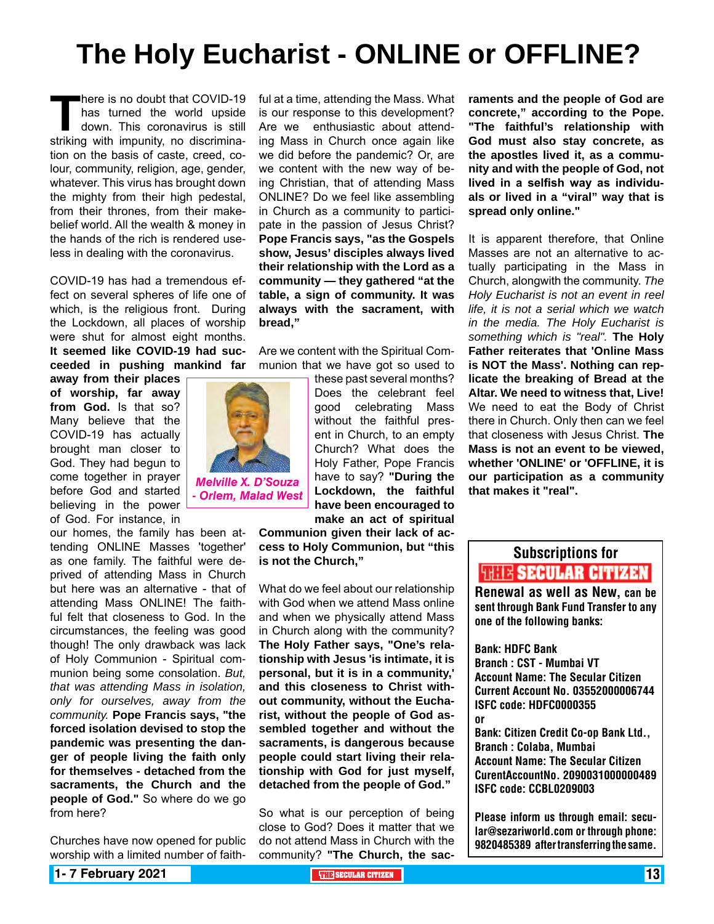## **The Holy Eucharist - ONLINE or OFFLINE?**

**There is no doubt that COVID-19**<br>has turned the world upside<br>down. This coronavirus is still<br>striking with impunity, no discriminahas turned the world upside down. This coronavirus is still tion on the basis of caste, creed, colour, community, religion, age, gender, whatever. This virus has brought down the mighty from their high pedestal, from their thrones, from their makebelief world. All the wealth & money in the hands of the rich is rendered useless in dealing with the coronavirus.

COVID-19 has had a tremendous effect on several spheres of life one of which, is the religious front. During the Lockdown, all places of worship were shut for almost eight months. **It seemed like COVID-19 had succeeded in pushing mankind far** 

**away from their places of worship, far away from God.** Is that so? Many believe that the COVID-19 has actually brought man closer to God. They had begun to come together in prayer before God and started believing in the power of God. For instance, in

our homes, the family has been attending ONLINE Masses 'together' as one family. The faithful were deprived of attending Mass in Church but here was an alternative - that of attending Mass ONLINE! The faithful felt that closeness to God. In the circumstances, the feeling was good though! The only drawback was lack of Holy Communion - Spiritual communion being some consolation. *But, that was attending Mass in isolation, only for ourselves, away from the community.* **Pope Francis says, "the forced isolation devised to stop the pandemic was presenting the danger of people living the faith only for themselves - detached from the sacraments, the Church and the people of God."** So where do we go from here?

Churches have now opened for public worship with a limited number of faithful at a time, attending the Mass. What is our response to this development? Are we enthusiastic about attending Mass in Church once again like we did before the pandemic? Or, are we content with the new way of being Christian, that of attending Mass ONLINE? Do we feel like assembling in Church as a community to participate in the passion of Jesus Christ? **Pope Francis says, "as the Gospels show, Jesus' disciples always lived their relationship with the Lord as a community — they gathered "at the table, a sign of community. It was always with the sacrament, with bread,"**

Are we content with the Spiritual Communion that we have got so used to

> these past several months? Does the celebrant feel good celebrating Mass without the faithful present in Church, to an empty Church? What does the Holy Father, Pope Francis have to say? **"During the Lockdown, the faithful have been encouraged to make an act of spiritual**

**Communion given their lack of access to Holy Communion, but "this is not the Church,"**

What do we feel about our relationship with God when we attend Mass online and when we physically attend Mass in Church along with the community? **The Holy Father says, "One's relationship with Jesus 'is intimate, it is personal, but it is in a community,' and this closeness to Christ without community, without the Eucharist, without the people of God assembled together and without the sacraments, is dangerous because people could start living their relationship with God for just myself, detached from the people of God."**

So what is our perception of being close to God? Does it matter that we do not attend Mass in Church with the community? **"The Church, the sac-** **raments and the people of God are concrete," according to the Pope. "The faithful's relationship with God must also stay concrete, as the apostles lived it, as a community and with the people of God, not lived in a selfish way as individuals or lived in a "viral" way that is spread only online."**

It is apparent therefore, that Online Masses are not an alternative to actually participating in the Mass in Church, alongwith the community. *The Holy Eucharist is not an event in reel life, it is not a serial which we watch in the media. The Holy Eucharist is something which is "real".* **The Holy Father reiterates that 'Online Mass is NOT the Mass'. Nothing can replicate the breaking of Bread at the Altar. We need to witness that, Live!** We need to eat the Body of Christ there in Church. Only then can we feel that closeness with Jesus Christ. **The Mass is not an event to be viewed, whether 'ONLINE' or 'OFFLINE, it is our participation as a community that makes it "real".**

## Subscriptions for **THIT'S SECULAR CITIZEN**<br>Renewal as well as New, can be

sent through Bank Fund Transfer to any one of the following banks:

Bank: HDFC Bank Branch : CST - Mumbai VT Account Name: The Secular Citizen Current Account No. 03552000006744 ISFC code: HDFC0000355 or Bank: Citizen Credit Co-op Bank Ltd.,

Branch : Colaba, Mumbai Account Name: The Secular Citizen CurentAccountNo. 2090031000000489 ISFC code: CCBL0209003

Please inform us through email: secular@sezariworld.com or through phone: 9820485389 after transferring the same.

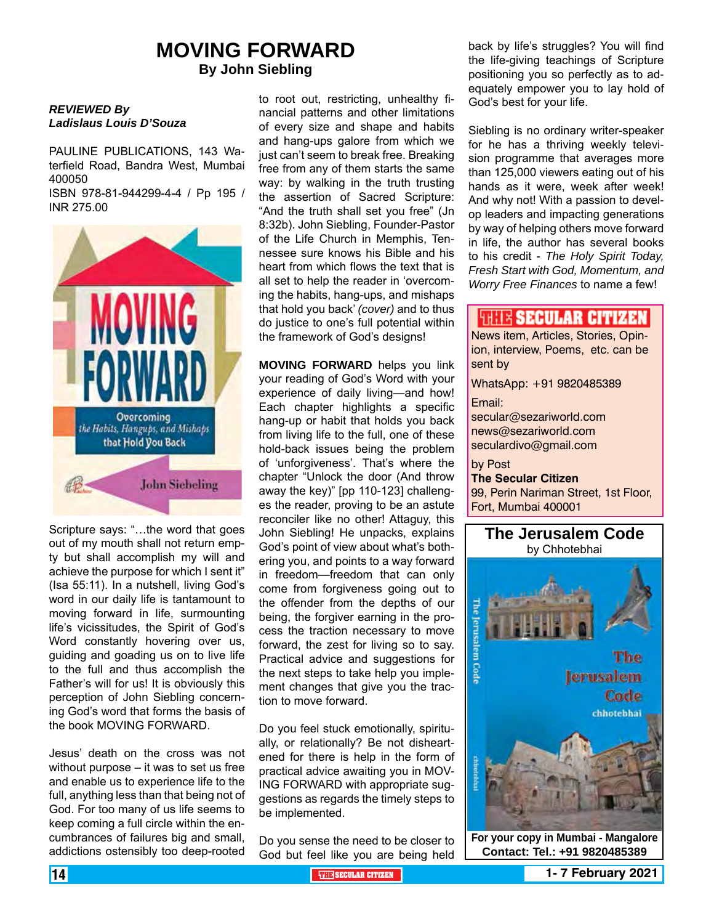## **MOVING FORWARD By John Siebling**

#### *REVIEWED By Ladislaus Louis D'Souza*

PAULINE PUBLICATIONS, 143 Waterfield Road, Bandra West, Mumbai 400050

ISBN 978-81-944299-4-4 / Pp 195 / INR 275.00



Scripture says: "…the word that goes out of my mouth shall not return empty but shall accomplish my will and achieve the purpose for which I sent it" (Isa 55:11). In a nutshell, living God's word in our daily life is tantamount to moving forward in life, surmounting life's vicissitudes, the Spirit of God's Word constantly hovering over us, guiding and goading us on to live life to the full and thus accomplish the Father's will for us! It is obviously this perception of John Siebling concerning God's word that forms the basis of the book MOVING FORWARD.

Jesus' death on the cross was not without purpose – it was to set us free and enable us to experience life to the full, anything less than that being not of God. For too many of us life seems to keep coming a full circle within the encumbrances of failures big and small, addictions ostensibly too deep-rooted

to root out, restricting, unhealthy financial patterns and other limitations of every size and shape and habits and hang-ups galore from which we just can't seem to break free. Breaking free from any of them starts the same way: by walking in the truth trusting the assertion of Sacred Scripture: "And the truth shall set you free" (Jn 8:32b). John Siebling, Founder-Pastor of the Life Church in Memphis, Tennessee sure knows his Bible and his heart from which flows the text that is all set to help the reader in 'overcoming the habits, hang-ups, and mishaps that hold you back' *(cover)* and to thus do justice to one's full potential within the framework of God's designs!

**MOVING FORWARD** helps you link your reading of God's Word with your experience of daily living—and how! Each chapter highlights a specific hang-up or habit that holds you back from living life to the full, one of these hold-back issues being the problem of 'unforgiveness'. That's where the chapter "Unlock the door (And throw away the key)" [pp 110-123] challenges the reader, proving to be an astute reconciler like no other! Attaguy, this John Siebling! He unpacks, explains God's point of view about what's bothering you, and points to a way forward in freedom—freedom that can only come from forgiveness going out to the offender from the depths of our being, the forgiver earning in the process the traction necessary to move forward, the zest for living so to say. Practical advice and suggestions for the next steps to take help you implement changes that give you the traction to move forward.

Do you feel stuck emotionally, spiritually, or relationally? Be not disheartened for there is help in the form of practical advice awaiting you in MOV-ING FORWARD with appropriate suggestions as regards the timely steps to be implemented.

Do you sense the need to be closer to God but feel like you are being held

back by life's struggles? You will find the life-giving teachings of Scripture positioning you so perfectly as to adequately empower you to lay hold of God's best for your life.

Siebling is no ordinary writer-speaker for he has a thriving weekly television programme that averages more than 125,000 viewers eating out of his hands as it were, week after week! And why not! With a passion to develop leaders and impacting generations by way of helping others move forward in life, the author has several books to his credit - *The Holy Spirit Today, Fresh Start with God, Momentum, and Worry Free Finances* to name a few!

### **WELL'S SECULAR CITIZEN**

News item, Articles, Stories, Opinion, interview, Poems, etc. can be sent by

WhatsApp: +91 9820485389

Email:

secular@sezariworld.com news@sezariworld.com seculardivo@gmail.com

by Post **The Secular Citizen** 99, Perin Nariman Street, 1st Floor, Fort, Mumbai 400001



**Contact: Tel.: +91 9820485389**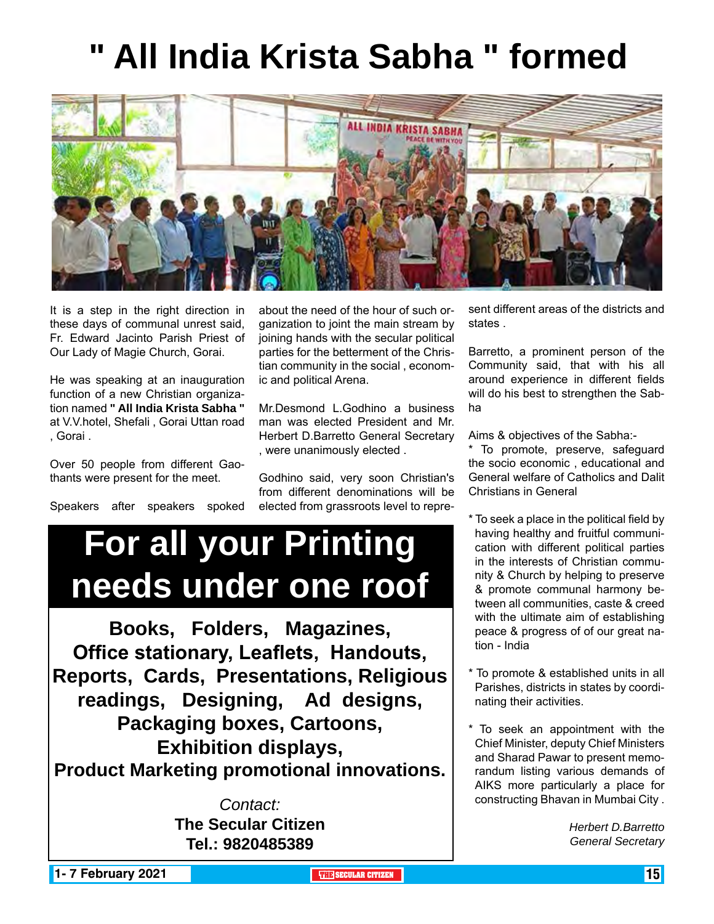# **" All India Krista Sabha " formed**



It is a step in the right direction in these days of communal unrest said, Fr. Edward Jacinto Parish Priest of Our Lady of Magie Church, Gorai.

He was speaking at an inauguration function of a new Christian organization named **" All India Krista Sabha "**  at V.V.hotel, Shefali , Gorai Uttan road , Gorai .

Over 50 people from different Gaothants were present for the meet.

Speakers after speakers spoked

about the need of the hour of such organization to joint the main stream by joining hands with the secular political parties for the betterment of the Christian community in the social , economic and political Arena.

Mr.Desmond L.Godhino a business man was elected President and Mr. Herbert D.Barretto General Secretary , were unanimously elected .

Godhino said, very soon Christian's from different denominations will be elected from grassroots level to repre-

#### sent different areas of the districts and states .

Barretto, a prominent person of the Community said, that with his all around experience in different fields will do his best to strengthen the Sabha

Aims & objectives of the Sabha:-

\* To promote, preserve, safeguard the socio economic , educational and General welfare of Catholics and Dalit Christians in General

- \* To seek a place in the political field by having healthy and fruitful communication with different political parties in the interests of Christian community & Church by helping to preserve & promote communal harmony between all communities, caste & creed with the ultimate aim of establishing peace & progress of of our great nation - India
- \* To promote & established units in all Parishes, districts in states by coordinating their activities.
- \* To seek an appointment with the Chief Minister, deputy Chief Ministers and Sharad Pawar to present memorandum listing various demands of AIKS more particularly a place for constructing Bhavan in Mumbai City .

*Herbert D.Barretto General Secretary*

**For all your Printing** 

**needs under one roof**

**Books, Folders, Magazines, Office stationary, Leaflets, Handouts,** 

**Reports, Cards, Presentations, Religious** 

**readings, Designing, Ad designs, Packaging boxes, Cartoons,** 

**Exhibition displays, Product Marketing promotional innovations.**

> *Contact:* **The Secular Citizen Tel.: 9820485389**

**1- 7 February 2021 The CITIZEN 15 SECULAR CITIZEN THE** SECULAR CITIZEN **THE** SECULAR CITIZEN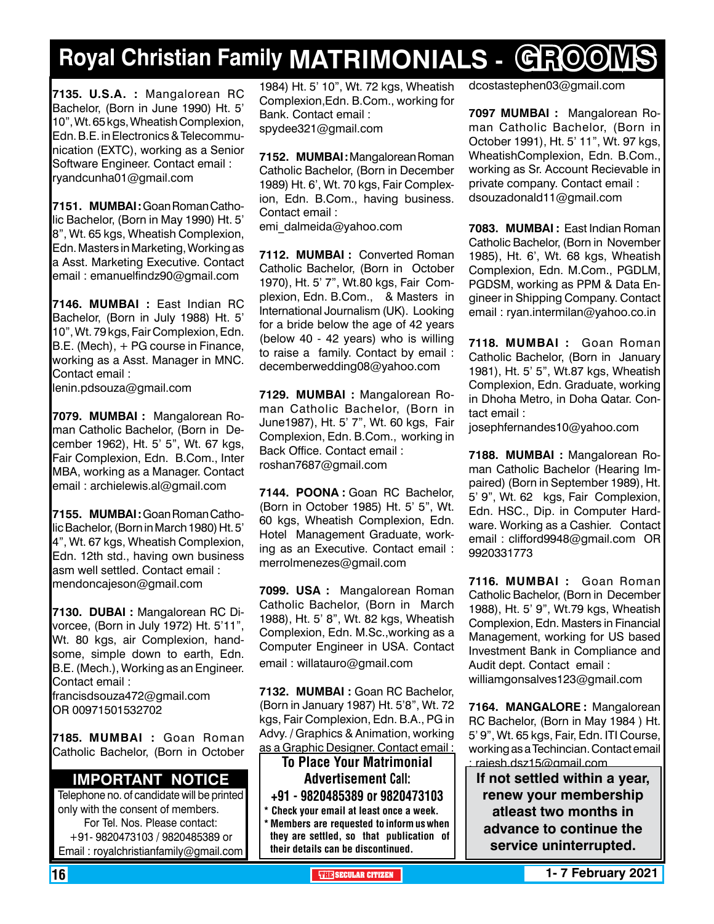# **Royal Christian Family MATRIMONIALS - GROOMS**

**7135. U.S.A. :** Mangalorean RC Bachelor, (Born in June 1990) Ht. 5' 10", Wt. 65 kgs, Wheatish Complexion, Edn. B.E. in Electronics & Telecommunication (EXTC), working as a Senior Software Engineer. Contact email : ryandcunha01@gmail.com

**7151. MUMBAI :** Goan Roman Catholic Bachelor, (Born in May 1990) Ht. 5' 8", Wt. 65 kgs, Wheatish Complexion, Edn. Masters in Marketing, Working as a Asst. Marketing Executive. Contact email : emanuelfindz90@gmail.com

**7146. MUMBAI :** East Indian RC Bachelor, (Born in July 1988) Ht. 5' 10", Wt. 79 kgs, Fair Complexion, Edn. B.E. (Mech), + PG course in Finance, working as a Asst. Manager in MNC. Contact email :

lenin.pdsouza@gmail.com

**7079. MUMBAI :** Mangalorean Roman Catholic Bachelor, (Born in December 1962), Ht. 5' 5", Wt. 67 kgs, Fair Complexion, Edn. B.Com., Inter MBA, working as a Manager. Contact email : archielewis.al@gmail.com

**7155. MUMBAI :** Goan Roman Catholic Bachelor, (Born in March 1980) Ht. 5' 4", Wt. 67 kgs, Wheatish Complexion, Edn. 12th std., having own business asm well settled. Contact email : mendoncajeson@gmail.com

**7130. DUBAI :** Mangalorean RC Divorcee, (Born in July 1972) Ht. 5'11", Wt. 80 kgs, air Complexion, handsome, simple down to earth, Edn. B.E. (Mech.), Working as an Engineer. Contact email : francisdsouza472@gmail.com OR 00971501532702

**7185. MUMBAI :** Goan Roman Catholic Bachelor, (Born in October

### **Important Notice**

Telephone no. of candidate will be printed only with the consent of members. For Tel. Nos. Please contact: +91- 9820473103 / 9820485389 or Email : royalchristianfamily@gmail.com

1984) Ht. 5' 10", Wt. 72 kgs, Wheatish Complexion,Edn. B.Com., working for Bank. Contact email : spydee321@gmail.com

**7152. MUMBAI :** Mangalorean Roman Catholic Bachelor, (Born in December 1989) Ht. 6', Wt. 70 kgs, Fair Complexion, Edn. B.Com., having business. Contact email :

emi\_dalmeida@yahoo.com

**7112. MUMBAI :** Converted Roman Catholic Bachelor, (Born in October 1970), Ht. 5' 7", Wt.80 kgs, Fair Complexion, Edn. B.Com., & Masters in International Journalism (UK). Looking for a bride below the age of 42 years (below 40 - 42 years) who is willing to raise a family. Contact by email : decemberwedding08@yahoo.com

**7129. MUMBAI :** Mangalorean Roman Catholic Bachelor, (Born in June1987), Ht. 5' 7", Wt. 60 kgs, Fair Complexion, Edn. B.Com., working in Back Office. Contact email : roshan7687@gmail.com

**7144. POONA :** Goan RC Bachelor, (Born in October 1985) Ht. 5' 5", Wt. 60 kgs, Wheatish Complexion, Edn. Hotel Management Graduate, working as an Executive. Contact email : merrolmenezes@gmail.com

**7099. USA :** Mangalorean Roman Catholic Bachelor, (Born in March 1988), Ht. 5' 8", Wt. 82 kgs, Wheatish Complexion, Edn. M.Sc.,working as a Computer Engineer in USA. Contact email : willatauro@gmail.com

**7132. MUMBAI :** Goan RC Bachelor, (Born in January 1987) Ht. 5'8", Wt. 72 kgs, Fair Complexion, Edn. B.A., PG in Advy. / Graphics & Animation, working as a Graphic Designer. Contact email :

To Place Your Matrimonial Advertisement Call: +91 - 9820485389 or 9820473103 \* Check your email at least once a week. \* Members are requested to inform us when they are settled, so that publication of their details can be discontinued.

dcostastephen03@gmail.com

**7097 MUMBAI :** Mangalorean Roman Catholic Bachelor, (Born in October 1991), Ht. 5' 11", Wt. 97 kgs, WheatishComplexion, Edn. B.Com., working as Sr. Account Recievable in private company. Contact email : dsouzadonald11@gmail.com

**7083. MUMBAI :** East Indian Roman Catholic Bachelor, (Born in November 1985), Ht. 6', Wt. 68 kgs, Wheatish Complexion, Edn. M.Com., PGDLM, PGDSM, working as PPM & Data Engineer in Shipping Company. Contact email : ryan.intermilan@yahoo.co.in

**7118. MUMBAI :** Goan Roman Catholic Bachelor, (Born in January 1981), Ht. 5' 5", Wt.87 kgs, Wheatish Complexion, Edn. Graduate, working in Dhoha Metro, in Doha Qatar. Contact email :

josephfernandes10@yahoo.com

**7188. MUMBAI :** Mangalorean Roman Catholic Bachelor (Hearing Impaired) (Born in September 1989), Ht. 5' 9", Wt. 62 kgs, Fair Complexion, Edn. HSC., Dip. in Computer Hardware. Working as a Cashier. Contact email : clifford9948@gmail.com OR 9920331773

**7116. MUMBAI :** Goan Roman Catholic Bachelor, (Born in December 1988), Ht. 5' 9", Wt.79 kgs, Wheatish Complexion, Edn. Masters in Financial Management, working for US based Investment Bank in Compliance and Audit dept. Contact email : williamgonsalves123@gmail.com

**7164. MANGALORE :** Mangalorean RC Bachelor, (Born in May 1984 ) Ht. 5' 9", Wt. 65 kgs, Fair, Edn. ITI Course, working as a Techincian. Contact email : rajesh.dsz15@gmail.com

**If not settled within a year, renew your membership atleast two months in advance to continue the service uninterrupted.**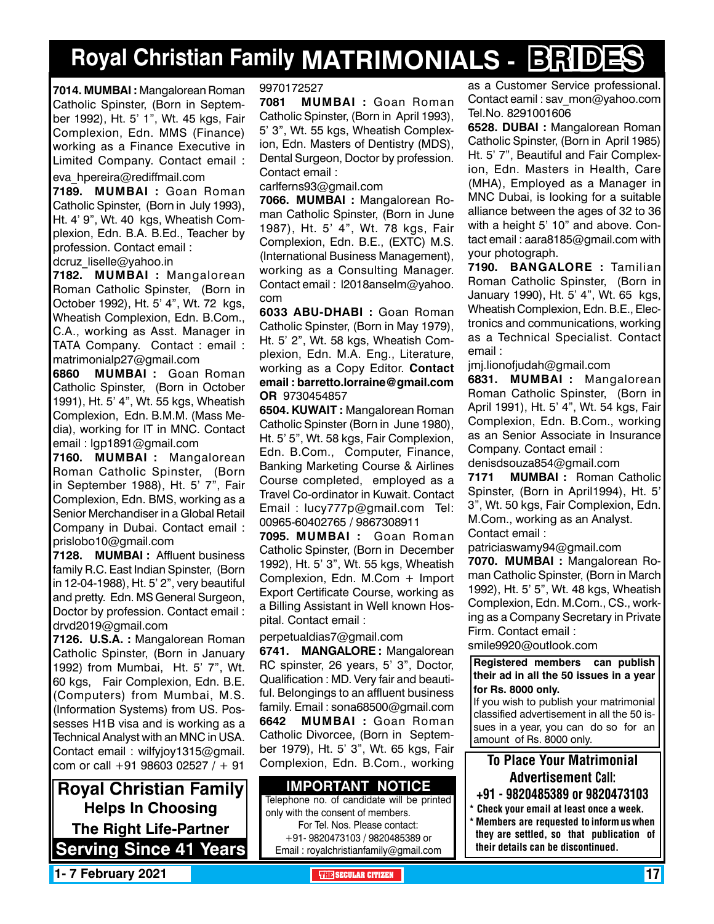## **Royal Christian Family MATRIMONIALS - BRIDES**

**7014. MUMBAI :** Mangalorean Roman Catholic Spinster, (Born in September 1992), Ht. 5' 1", Wt. 45 kgs, Fair Complexion, Edn. MMS (Finance) working as a Finance Executive in Limited Company. Contact email :

eva\_hpereira@rediffmail.com

**7189. MUMBAI :** Goan Roman Catholic Spinster, (Born in July 1993), Ht. 4' 9", Wt. 40 kgs, Wheatish Complexion, Edn. B.A. B.Ed., Teacher by profession. Contact email : dcruz\_liselle@yahoo.in

**7182. MUMBAI :** Mangalorean Roman Catholic Spinster, (Born in October 1992), Ht. 5' 4", Wt. 72 kgs, Wheatish Complexion, Edn. B.Com., C.A., working as Asst. Manager in TATA Company. Contact : email : matrimonialp27@gmail.com

**6860 MUMBAI :** Goan Roman Catholic Spinster, (Born in October 1991), Ht. 5' 4", Wt. 55 kgs, Wheatish Complexion, Edn. B.M.M. (Mass Media), working for IT in MNC. Contact email : lgp1891@gmail.com

**7160. MUMBAI :** Mangalorean Roman Catholic Spinster, (Born in September 1988), Ht. 5' 7", Fair Complexion, Edn. BMS, working as a Senior Merchandiser in a Global Retail Company in Dubai. Contact email : prislobo10@gmail.com

**7128. MUMBAI :** Affluent business family R.C. East Indian Spinster, (Born in 12-04-1988), Ht. 5' 2", very beautiful and pretty. Edn. MS General Surgeon, Doctor by profession. Contact email : drvd2019@gmail.com

**7126. U.S.A. :** Mangalorean Roman Catholic Spinster, (Born in January 1992) from Mumbai, Ht. 5' 7", Wt. 60 kgs, Fair Complexion, Edn. B.E. (Computers) from Mumbai, M.S. (Information Systems) from US. Possesses H1B visa and is working as a Technical Analyst with an MNC in USA. Contact email : wilfyjoy1315@gmail. com or call +91 98603 02527 / + 91

**Royal Christian Family Helps In Choosing The Right Life-Partner Serving Since 41 Years**

#### 9970172527

**7081 MUMBAI :** Goan Roman Catholic Spinster, (Born in April 1993), 5' 3", Wt. 55 kgs, Wheatish Complexion, Edn. Masters of Dentistry (MDS), Dental Surgeon, Doctor by profession. Contact email :

carlferns93@gmail.com

**7066. MUMBAI :** Mangalorean Roman Catholic Spinster, (Born in June 1987), Ht. 5' 4", Wt. 78 kgs, Fair Complexion, Edn. B.E., (EXTC) M.S. (International Business Management), working as a Consulting Manager. Contact email : l2018anselm@yahoo. com

**6033 ABU-DHABI :** Goan Roman Catholic Spinster, (Born in May 1979), Ht. 5' 2", Wt. 58 kgs, Wheatish Complexion, Edn. M.A. Eng., Literature, working as a Copy Editor. Contact email : barretto.lorraine@gmail.com OR 9730454857

**6504. Kuwait :** Mangalorean Roman Catholic Spinster (Born in June 1980), Ht. 5' 5", Wt. 58 kgs, Fair Complexion, Edn. B.Com., Computer, Finance, Banking Marketing Course & Airlines Course completed, employed as a Travel Co-ordinator in Kuwait. Contact Email : lucy777p@gmail.com Tel: 00965-60402765 / 9867308911

**7095. MUMBAI :** Goan Roman Catholic Spinster, (Born in December 1992), Ht. 5' 3", Wt. 55 kgs, Wheatish Complexion, Edn. M.Com + Import Export Certificate Course, working as a Billing Assistant in Well known Hospital. Contact email :

perpetualdias7@gmail.com

**6741. MANGALORE :** Mangalorean RC spinster, 26 years, 5' 3", Doctor, Qualification : MD. Very fair and beautiful. Belongings to an affluent business family. Email : sona68500@gmail.com **6642 MUMBAI :** Goan Roman Catholic Divorcee, (Born in September 1979), Ht. 5' 3", Wt. 65 kgs, Fair Complexion, Edn. B.Com., working

**Important Notice**

Telephone no. of candidate will be printed only with the consent of members. For Tel. Nos. Please contact: +91- 9820473103 / 9820485389 or Email : royalchristianfamily@gmail.com

as a Customer Service professional. Contact eamil : sav\_mon@yahoo.com Tel.No. 8291001606

**6528. DUBAI :** Mangalorean Roman Catholic Spinster, (Born in April 1985) Ht. 5' 7", Beautiful and Fair Complexion, Edn. Masters in Health, Care (MHA), Employed as a Manager in MNC Dubai, is looking for a suitable alliance between the ages of 32 to 36 with a height 5' 10" and above. Contact email : aara8185@gmail.com with your photograph.

**7190. BANGALORE :** Tamilian Roman Catholic Spinster, (Born in January 1990), Ht. 5' 4", Wt. 65 kgs, Wheatish Complexion, Edn. B.E., Electronics and communications, working as a Technical Specialist. Contact email :

jmj.lionofjudah@gmail.com

**6831. MUMBAI :** Mangalorean Roman Catholic Spinster, (Born in April 1991), Ht. 5' 4", Wt. 54 kgs, Fair Complexion, Edn. B.Com., working as an Senior Associate in Insurance Company. Contact email :

denisdsouza854@gmail.com **7171 MUMBAI :** Roman Catholic Spinster, (Born in April1994), Ht. 5' 3", Wt. 50 kgs, Fair Complexion, Edn. M.Com., working as an Analyst.

Contact email :

patriciaswamy94@gmail.com

**7070. MUMBAI :** Mangalorean Roman Catholic Spinster, (Born in March 1992), Ht. 5' 5", Wt. 48 kgs, Wheatish Complexion, Edn. M.Com., CS., working as a Company Secretary in Private Firm. Contact email :

smile9920@outlook.com

**Registered members can publish their ad in all the 50 issues in a year for Rs. 8000 only.**

If you wish to publish your matrimonial classified advertisement in all the 50 issues in a year, you can do so for an amount of Rs. 8000 only.

### To Place Your Matrimonial Advertisement Call:

- +91 9820485389 or 9820473103
- \* Check your email at least once a week. \* Members are requested to inform us when they are settled, so that publication of their details can be discontinued.

**1- 7 February 2021 The Contract of the SECULAR CITIZEN THE** SECULAR CITIZEN **THEFT**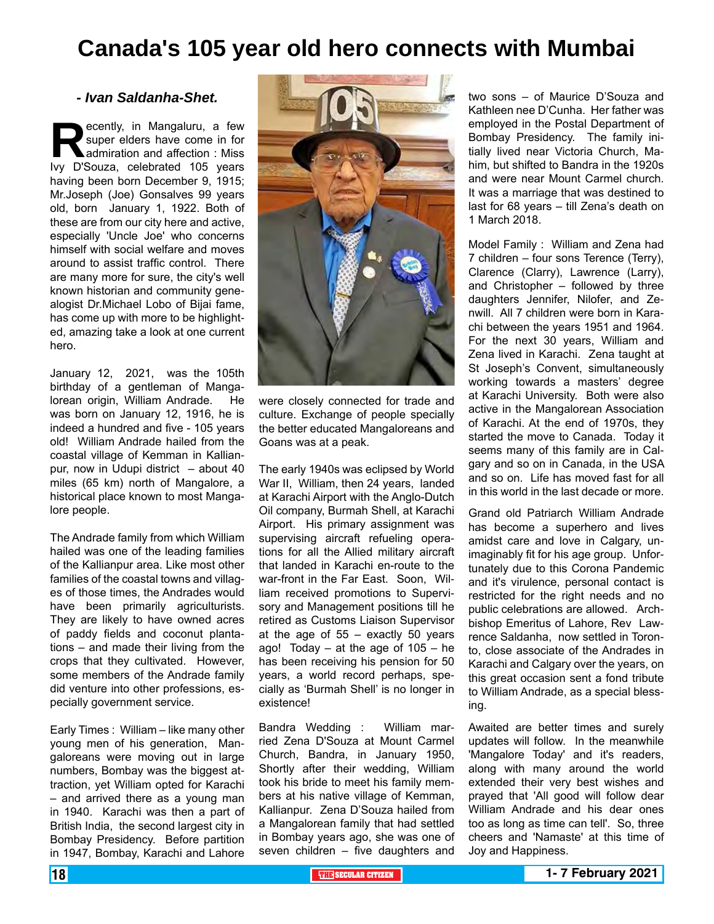## **Canada's 105 year old hero connects with Mumbai**

#### *- Ivan Saldanha-Shet.*

**Recently, in Mangaluru, a few super elders have come in for admiration and affection : Miss lvy D'Souza, celebrated 105 years** super elders have come in for admiration and affection : Miss having been born December 9, 1915; Mr.Joseph (Joe) Gonsalves 99 years old, born January 1, 1922. Both of these are from our city here and active, especially 'Uncle Joe' who concerns himself with social welfare and moves around to assist traffic control. There are many more for sure, the city's well known historian and community genealogist Dr.Michael Lobo of Bijai fame, has come up with more to be highlighted, amazing take a look at one current hero.

January 12, 2021, was the 105th birthday of a gentleman of Mangalorean origin, William Andrade. He was born on January 12, 1916, he is indeed a hundred and five - 105 years old! William Andrade hailed from the coastal village of Kemman in Kallianpur, now in Udupi district – about 40 miles (65 km) north of Mangalore, a historical place known to most Mangalore people.

The Andrade family from which William hailed was one of the leading families of the Kallianpur area. Like most other families of the coastal towns and villages of those times, the Andrades would have been primarily agriculturists. They are likely to have owned acres of paddy fields and coconut plantations – and made their living from the crops that they cultivated. However, some members of the Andrade family did venture into other professions, especially government service.

Early Times : William – like many other young men of his generation, Mangaloreans were moving out in large numbers, Bombay was the biggest attraction, yet William opted for Karachi – and arrived there as a young man in 1940. Karachi was then a part of British India, the second largest city in Bombay Presidency. Before partition in 1947, Bombay, Karachi and Lahore



were closely connected for trade and culture. Exchange of people specially the better educated Mangaloreans and Goans was at a peak.

The early 1940s was eclipsed by World War II, William, then 24 years, landed at Karachi Airport with the Anglo-Dutch Oil company, Burmah Shell, at Karachi Airport. His primary assignment was supervising aircraft refueling operations for all the Allied military aircraft that landed in Karachi en-route to the war-front in the Far East. Soon, William received promotions to Supervisory and Management positions till he retired as Customs Liaison Supervisor at the age of  $55 -$  exactly 50 years ago! Today – at the age of  $105 - he$ has been receiving his pension for 50 years, a world record perhaps, specially as 'Burmah Shell' is no longer in existence!

Bandra Wedding : William married Zena D'Souza at Mount Carmel Church, Bandra, in January 1950, Shortly after their wedding, William took his bride to meet his family members at his native village of Kemman, Kallianpur. Zena D'Souza hailed from a Mangalorean family that had settled in Bombay years ago, she was one of seven children – five daughters and

two sons – of Maurice D'Souza and Kathleen nee D'Cunha. Her father was employed in the Postal Department of Bombay Presidency. The family initially lived near Victoria Church, Mahim, but shifted to Bandra in the 1920s and were near Mount Carmel church. It was a marriage that was destined to last for 68 years – till Zena's death on 1 March 2018.

Model Family : William and Zena had 7 children – four sons Terence (Terry), Clarence (Clarry), Lawrence (Larry), and Christopher – followed by three daughters Jennifer, Nilofer, and Zenwill. All 7 children were born in Karachi between the years 1951 and 1964. For the next 30 years, William and Zena lived in Karachi. Zena taught at St Joseph's Convent, simultaneously working towards a masters' degree at Karachi University. Both were also active in the Mangalorean Association of Karachi. At the end of 1970s, they started the move to Canada. Today it seems many of this family are in Calgary and so on in Canada, in the USA and so on. Life has moved fast for all in this world in the last decade or more.

Grand old Patriarch William Andrade has become a superhero and lives amidst care and love in Calgary, unimaginably fit for his age group. Unfortunately due to this Corona Pandemic and it's virulence, personal contact is restricted for the right needs and no public celebrations are allowed. Archbishop Emeritus of Lahore, Rev Lawrence Saldanha, now settled in Toronto, close associate of the Andrades in Karachi and Calgary over the years, on this great occasion sent a fond tribute to William Andrade, as a special blessing.

Awaited are better times and surely updates will follow. In the meanwhile 'Mangalore Today' and it's readers. along with many around the world extended their very best wishes and prayed that 'All good will follow dear William Andrade and his dear ones too as long as time can tell'. So, three cheers and 'Namaste' at this time of Joy and Happiness.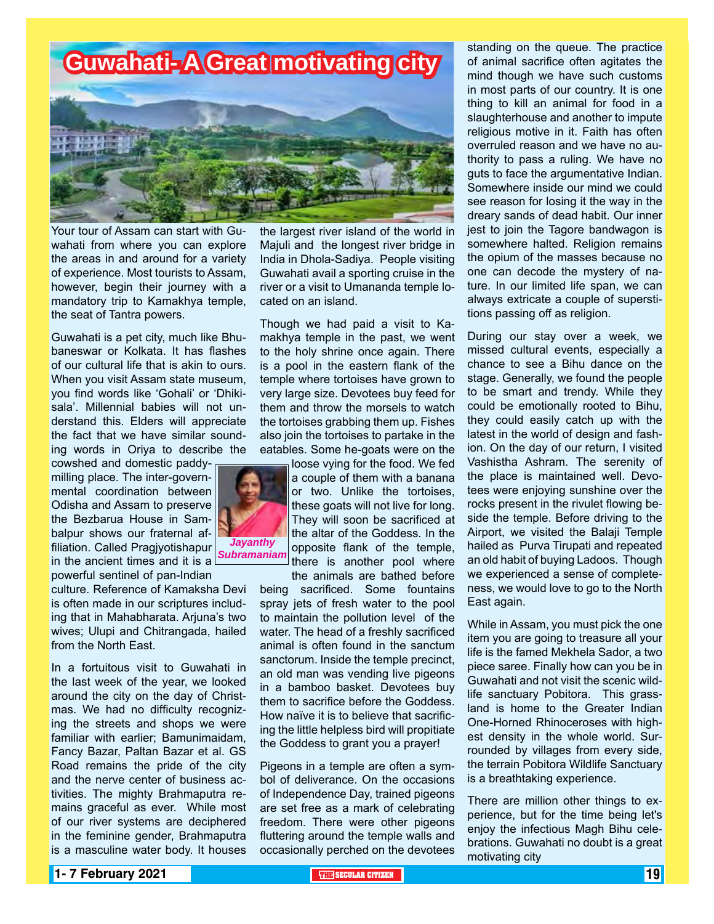

Your tour of Assam can start with Guwahati from where you can explore the areas in and around for a variety of experience. Most tourists to Assam, however, begin their journey with a mandatory trip to Kamakhya temple, the seat of Tantra powers.

Guwahati is a pet city, much like Bhubaneswar or Kolkata. It has flashes of our cultural life that is akin to ours. When you visit Assam state museum, you find words like 'Gohali' or 'Dhikisala'. Millennial babies will not understand this. Elders will appreciate the fact that we have similar sounding words in Oriya to describe the cowshed and domestic paddy-

milling place. The inter-governmental coordination between Odisha and Assam to preserve the Bezbarua House in Sambalpur shows our fraternal affiliation. Called Pragjyotishapur in the ancient times and it is a powerful sentinel of pan-Indian

culture. Reference of Kamaksha Devi is often made in our scriptures including that in Mahabharata. Arjuna's two wives; Ulupi and Chitrangada, hailed from the North East.

In a fortuitous visit to Guwahati in the last week of the year, we looked around the city on the day of Christmas. We had no difficulty recognizing the streets and shops we were familiar with earlier; Bamunimaidam, Fancy Bazar, Paltan Bazar et al. GS Road remains the pride of the city and the nerve center of business activities. The mighty Brahmaputra remains graceful as ever. While most of our river systems are deciphered in the feminine gender, Brahmaputra is a masculine water body. It houses

the largest river island of the world in Majuli and the longest river bridge in India in Dhola-Sadiya. People visiting Guwahati avail a sporting cruise in the river or a visit to Umananda temple located on an island.

Though we had paid a visit to Kamakhya temple in the past, we went to the holy shrine once again. There is a pool in the eastern flank of the temple where tortoises have grown to very large size. Devotees buy feed for them and throw the morsels to watch the tortoises grabbing them up. Fishes also join the tortoises to partake in the eatables. Some he-goats were on the

loose vying for the food. We fed a couple of them with a banana or two. Unlike the tortoises, these goats will not live for long. They will soon be sacrificed at the altar of the Goddess. In the opposite flank of the temple, there is another pool where the animals are bathed before

being sacrificed. Some fountains spray jets of fresh water to the pool to maintain the pollution level of the water. The head of a freshly sacrificed animal is often found in the sanctum sanctorum. Inside the temple precinct, an old man was vending live pigeons in a bamboo basket. Devotees buy them to sacrifice before the Goddess. How naïve it is to believe that sacrificing the little helpless bird will propitiate the Goddess to grant you a prayer!

Pigeons in a temple are often a symbol of deliverance. On the occasions of Independence Day, trained pigeons are set free as a mark of celebrating freedom. There were other pigeons fluttering around the temple walls and occasionally perched on the devotees standing on the queue. The practice of animal sacrifice often agitates the mind though we have such customs in most parts of our country. It is one thing to kill an animal for food in a slaughterhouse and another to impute religious motive in it. Faith has often overruled reason and we have no authority to pass a ruling. We have no guts to face the argumentative Indian. Somewhere inside our mind we could see reason for losing it the way in the dreary sands of dead habit. Our inner jest to join the Tagore bandwagon is somewhere halted. Religion remains the opium of the masses because no one can decode the mystery of nature. In our limited life span, we can always extricate a couple of superstitions passing off as religion.

During our stay over a week, we missed cultural events, especially a chance to see a Bihu dance on the stage. Generally, we found the people to be smart and trendy. While they could be emotionally rooted to Bihu, they could easily catch up with the latest in the world of design and fashion. On the day of our return, I visited Vashistha Ashram. The serenity of the place is maintained well. Devotees were enjoying sunshine over the rocks present in the rivulet flowing beside the temple. Before driving to the Airport, we visited the Balaji Temple hailed as Purva Tirupati and repeated an old habit of buying Ladoos. Though we experienced a sense of completeness, we would love to go to the North East again.

While in Assam, you must pick the one item you are going to treasure all your life is the famed Mekhela Sador, a two piece saree. Finally how can you be in Guwahati and not visit the scenic wildlife sanctuary Pobitora. This grassland is home to the Greater Indian One-Horned Rhinoceroses with highest density in the whole world. Surrounded by villages from every side, the terrain Pobitora Wildlife Sanctuary is a breathtaking experience.

There are million other things to experience, but for the time being let's enjoy the infectious Magh Bihu celebrations. Guwahati no doubt is a great motivating city



*Subramaniam*